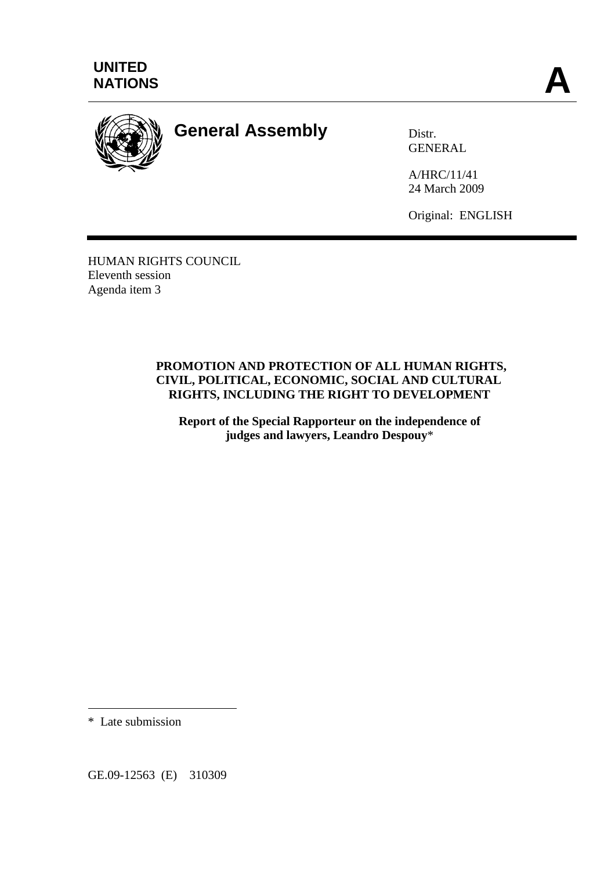



**General Assembly** Distr.

**GENERAL** 

A/HRC/11/41 24 March 2009

Original: ENGLISH

HUMAN RIGHTS COUNCIL Eleventh session Agenda item 3

#### **PROMOTION AND PROTECTION OF ALL HUMAN RIGHTS, CIVIL, POLITICAL, ECONOMIC, SOCIAL AND CULTURAL RIGHTS, INCLUDING THE RIGHT TO DEVELOPMENT**

**Report of the Special Rapporteur on the independence of judges and lawyers, Leandro Despouy**\*

\* Late submission

 $\overline{a}$ 

GE.09-12563 (E) 310309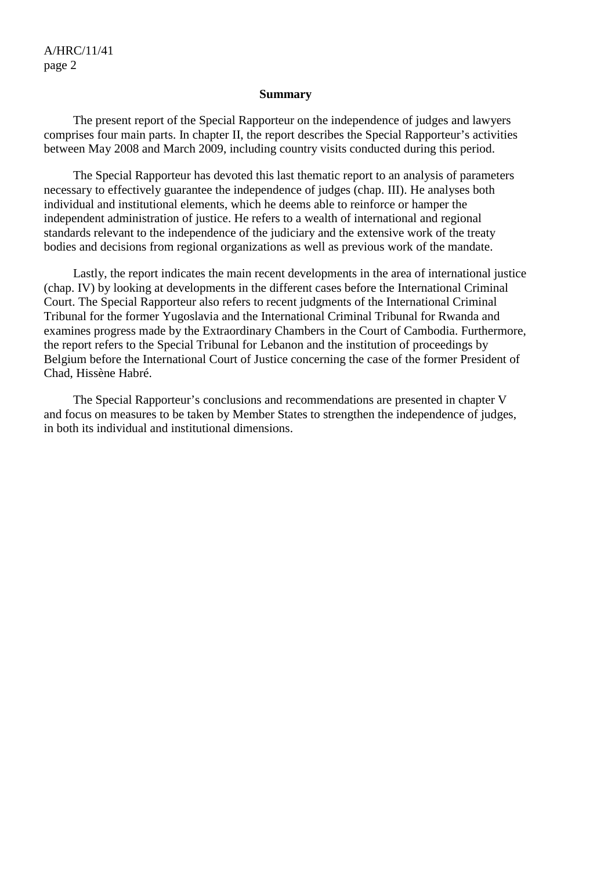#### **Summary**

 The present report of the Special Rapporteur on the independence of judges and lawyers comprises four main parts. In chapter II, the report describes the Special Rapporteur's activities between May 2008 and March 2009, including country visits conducted during this period.

 The Special Rapporteur has devoted this last thematic report to an analysis of parameters necessary to effectively guarantee the independence of judges (chap. III). He analyses both individual and institutional elements, which he deems able to reinforce or hamper the independent administration of justice. He refers to a wealth of international and regional standards relevant to the independence of the judiciary and the extensive work of the treaty bodies and decisions from regional organizations as well as previous work of the mandate.

 Lastly, the report indicates the main recent developments in the area of international justice (chap. IV) by looking at developments in the different cases before the International Criminal Court. The Special Rapporteur also refers to recent judgments of the International Criminal Tribunal for the former Yugoslavia and the International Criminal Tribunal for Rwanda and examines progress made by the Extraordinary Chambers in the Court of Cambodia. Furthermore, the report refers to the Special Tribunal for Lebanon and the institution of proceedings by Belgium before the International Court of Justice concerning the case of the former President of Chad, Hissène Habré.

 The Special Rapporteur's conclusions and recommendations are presented in chapter V and focus on measures to be taken by Member States to strengthen the independence of judges, in both its individual and institutional dimensions.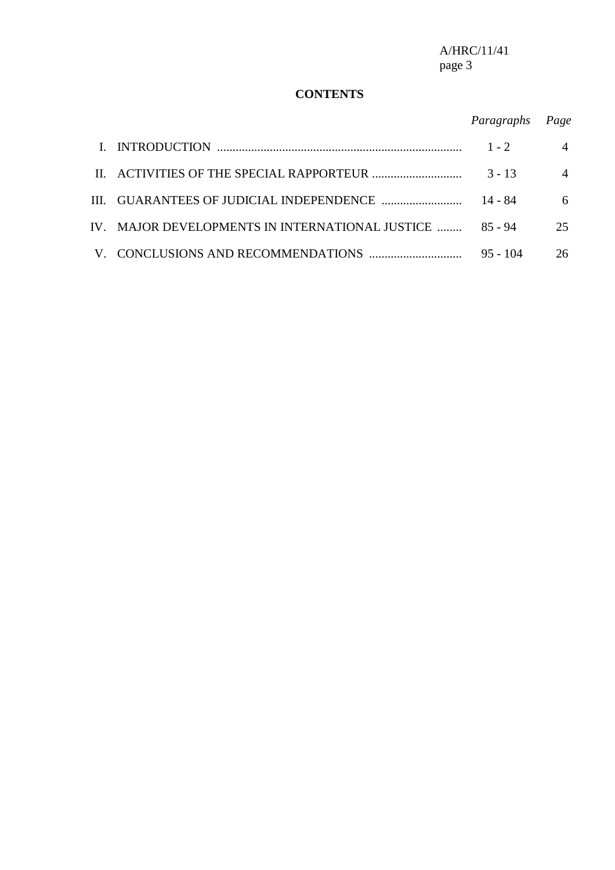## **CONTENTS**

# *Paragraphs Page*

|                                                          | $\overline{4}$ |
|----------------------------------------------------------|----------------|
|                                                          |                |
|                                                          |                |
| IV. MAJOR DEVELOPMENTS IN INTERNATIONAL JUSTICE  85 - 94 | 25             |
|                                                          | 26             |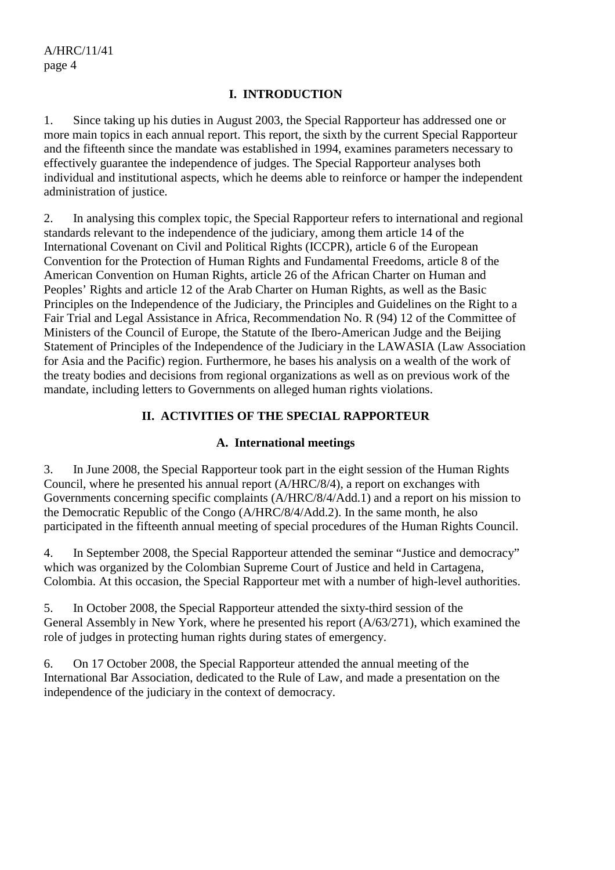### **I. INTRODUCTION**

1. Since taking up his duties in August 2003, the Special Rapporteur has addressed one or more main topics in each annual report. This report, the sixth by the current Special Rapporteur and the fifteenth since the mandate was established in 1994, examines parameters necessary to effectively guarantee the independence of judges. The Special Rapporteur analyses both individual and institutional aspects, which he deems able to reinforce or hamper the independent administration of justice.

2. In analysing this complex topic, the Special Rapporteur refers to international and regional standards relevant to the independence of the judiciary, among them article 14 of the International Covenant on Civil and Political Rights (ICCPR), article 6 of the European Convention for the Protection of Human Rights and Fundamental Freedoms, article 8 of the American Convention on Human Rights, article 26 of the African Charter on Human and Peoples' Rights and article 12 of the Arab Charter on Human Rights, as well as the Basic Principles on the Independence of the Judiciary, the Principles and Guidelines on the Right to a Fair Trial and Legal Assistance in Africa, Recommendation No. R (94) 12 of the Committee of Ministers of the Council of Europe, the Statute of the Ibero-American Judge and the Beijing Statement of Principles of the Independence of the Judiciary in the LAWASIA (Law Association for Asia and the Pacific) region. Furthermore, he bases his analysis on a wealth of the work of the treaty bodies and decisions from regional organizations as well as on previous work of the mandate, including letters to Governments on alleged human rights violations.

## **II. ACTIVITIES OF THE SPECIAL RAPPORTEUR**

## **A. International meetings**

3. In June 2008, the Special Rapporteur took part in the eight session of the Human Rights Council, where he presented his annual report (A/HRC/8/4), a report on exchanges with Governments concerning specific complaints (A/HRC/8/4/Add.1) and a report on his mission to the Democratic Republic of the Congo (A/HRC/8/4/Add.2). In the same month, he also participated in the fifteenth annual meeting of special procedures of the Human Rights Council.

4. In September 2008, the Special Rapporteur attended the seminar "Justice and democracy" which was organized by the Colombian Supreme Court of Justice and held in Cartagena, Colombia. At this occasion, the Special Rapporteur met with a number of high-level authorities.

5. In October 2008, the Special Rapporteur attended the sixty-third session of the General Assembly in New York, where he presented his report (A/63/271), which examined the role of judges in protecting human rights during states of emergency.

6. On 17 October 2008, the Special Rapporteur attended the annual meeting of the International Bar Association, dedicated to the Rule of Law, and made a presentation on the independence of the judiciary in the context of democracy.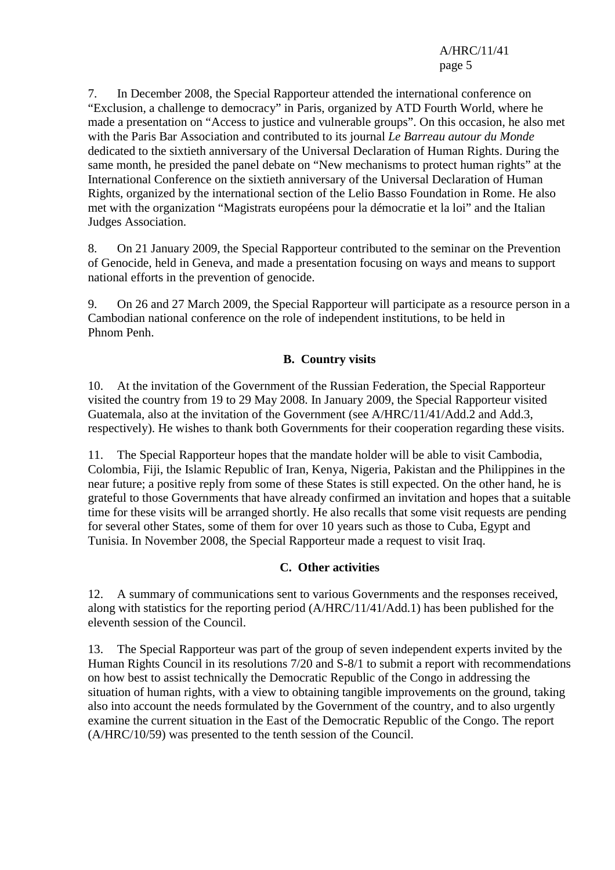7. In December 2008, the Special Rapporteur attended the international conference on "Exclusion, a challenge to democracy" in Paris, organized by ATD Fourth World, where he made a presentation on "Access to justice and vulnerable groups". On this occasion, he also met with the Paris Bar Association and contributed to its journal *Le Barreau autour du Monde* dedicated to the sixtieth anniversary of the Universal Declaration of Human Rights. During the same month, he presided the panel debate on "New mechanisms to protect human rights" at the International Conference on the sixtieth anniversary of the Universal Declaration of Human Rights, organized by the international section of the Lelio Basso Foundation in Rome. He also met with the organization "Magistrats européens pour la démocratie et la loi" and the Italian Judges Association.

8. On 21 January 2009, the Special Rapporteur contributed to the seminar on the Prevention of Genocide, held in Geneva, and made a presentation focusing on ways and means to support national efforts in the prevention of genocide.

9. On 26 and 27 March 2009, the Special Rapporteur will participate as a resource person in a Cambodian national conference on the role of independent institutions, to be held in Phnom Penh.

## **B. Country visits**

10. At the invitation of the Government of the Russian Federation, the Special Rapporteur visited the country from 19 to 29 May 2008. In January 2009, the Special Rapporteur visited Guatemala, also at the invitation of the Government (see A/HRC/11/41/Add.2 and Add.3, respectively). He wishes to thank both Governments for their cooperation regarding these visits.

11. The Special Rapporteur hopes that the mandate holder will be able to visit Cambodia, Colombia, Fiji, the Islamic Republic of Iran, Kenya, Nigeria, Pakistan and the Philippines in the near future; a positive reply from some of these States is still expected. On the other hand, he is grateful to those Governments that have already confirmed an invitation and hopes that a suitable time for these visits will be arranged shortly. He also recalls that some visit requests are pending for several other States, some of them for over 10 years such as those to Cuba, Egypt and Tunisia. In November 2008, the Special Rapporteur made a request to visit Iraq.

#### **C. Other activities**

12. A summary of communications sent to various Governments and the responses received, along with statistics for the reporting period (A/HRC/11/41/Add.1) has been published for the eleventh session of the Council.

13. The Special Rapporteur was part of the group of seven independent experts invited by the Human Rights Council in its resolutions 7/20 and S-8/1 to submit a report with recommendations on how best to assist technically the Democratic Republic of the Congo in addressing the situation of human rights, with a view to obtaining tangible improvements on the ground, taking also into account the needs formulated by the Government of the country, and to also urgently examine the current situation in the East of the Democratic Republic of the Congo. The report (A/HRC/10/59) was presented to the tenth session of the Council.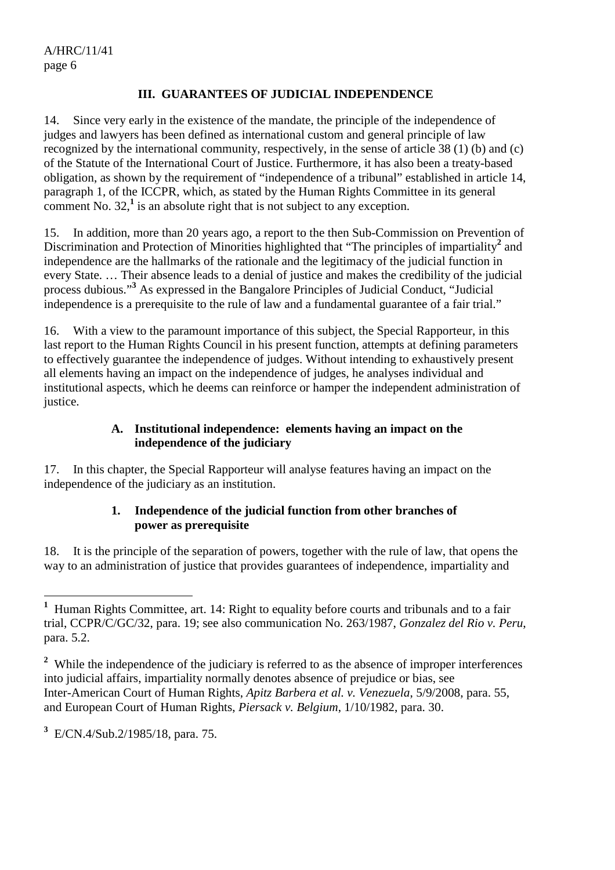## **III. GUARANTEES OF JUDICIAL INDEPENDENCE**

14. Since very early in the existence of the mandate, the principle of the independence of judges and lawyers has been defined as international custom and general principle of law recognized by the international community, respectively, in the sense of article 38 (1) (b) and (c) of the Statute of the International Court of Justice. Furthermore, it has also been a treaty-based obligation, as shown by the requirement of "independence of a tribunal" established in article 14, paragraph 1, of the ICCPR, which, as stated by the Human Rights Committee in its general comment No.  $32<sup>1</sup>$  is an absolute right that is not subject to any exception.

15. In addition, more than 20 years ago, a report to the then Sub-Commission on Prevention of Discrimination and Protection of Minorities highlighted that "The principles of impartiality<sup>2</sup> and independence are the hallmarks of the rationale and the legitimacy of the judicial function in every State. … Their absence leads to a denial of justice and makes the credibility of the judicial process dubious."**<sup>3</sup>** As expressed in the Bangalore Principles of Judicial Conduct, "Judicial independence is a prerequisite to the rule of law and a fundamental guarantee of a fair trial."

16. With a view to the paramount importance of this subject, the Special Rapporteur, in this last report to the Human Rights Council in his present function, attempts at defining parameters to effectively guarantee the independence of judges. Without intending to exhaustively present all elements having an impact on the independence of judges, he analyses individual and institutional aspects, which he deems can reinforce or hamper the independent administration of justice.

#### **A. Institutional independence: elements having an impact on the independence of the judiciary**

17. In this chapter, the Special Rapporteur will analyse features having an impact on the independence of the judiciary as an institution.

## **1. Independence of the judicial function from other branches of power as prerequisite**

18. It is the principle of the separation of powers, together with the rule of law, that opens the way to an administration of justice that provides guarantees of independence, impartiality and

**3** E/CN.4/Sub.2/1985/18, para. 75.

<sup>&</sup>lt;sup>1</sup> Human Rights Committee, art. 14: Right to equality before courts and tribunals and to a fair trial, CCPR/C/GC/32, para. 19; see also communication No. 263/1987, *Gonzalez del Rio v. Peru*, para. 5.2.

<sup>&</sup>lt;sup>2</sup> While the independence of the judiciary is referred to as the absence of improper interferences into judicial affairs, impartiality normally denotes absence of prejudice or bias, see Inter-American Court of Human Rights, *Apitz Barbera et al. v. Venezuela*, 5/9/2008, para. 55, and European Court of Human Rights, *Piersack v. Belgium*, 1/10/1982, para. 30.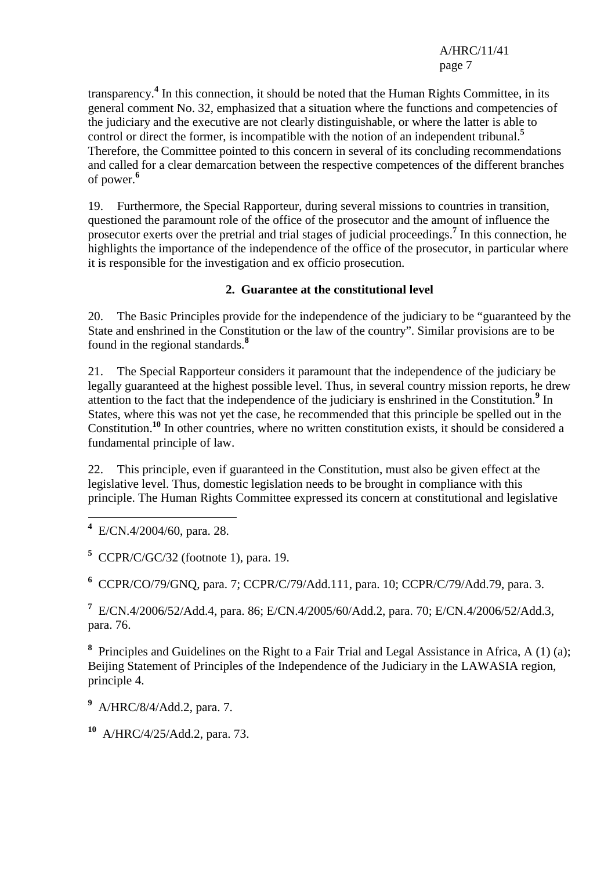transparency.**<sup>4</sup>** In this connection, it should be noted that the Human Rights Committee, in its general comment No. 32, emphasized that a situation where the functions and competencies of the judiciary and the executive are not clearly distinguishable, or where the latter is able to control or direct the former, is incompatible with the notion of an independent tribunal.**<sup>5</sup>** Therefore, the Committee pointed to this concern in several of its concluding recommendations and called for a clear demarcation between the respective competences of the different branches of power.**<sup>6</sup>**

19. Furthermore, the Special Rapporteur, during several missions to countries in transition, questioned the paramount role of the office of the prosecutor and the amount of influence the prosecutor exerts over the pretrial and trial stages of judicial proceedings.**<sup>7</sup>** In this connection, he highlights the importance of the independence of the office of the prosecutor, in particular where it is responsible for the investigation and ex officio prosecution.

#### **2. Guarantee at the constitutional level**

20. The Basic Principles provide for the independence of the judiciary to be "guaranteed by the State and enshrined in the Constitution or the law of the country". Similar provisions are to be found in the regional standards.**<sup>8</sup>**

21. The Special Rapporteur considers it paramount that the independence of the judiciary be legally guaranteed at the highest possible level. Thus, in several country mission reports, he drew attention to the fact that the independence of the judiciary is enshrined in the Constitution.**<sup>9</sup>** In States, where this was not yet the case, he recommended that this principle be spelled out in the Constitution.**<sup>10</sup>** In other countries, where no written constitution exists, it should be considered a fundamental principle of law.

22. This principle, even if guaranteed in the Constitution, must also be given effect at the legislative level. Thus, domestic legislation needs to be brought in compliance with this principle. The Human Rights Committee expressed its concern at constitutional and legislative

**5** CCPR/C/GC/32 (footnote 1), para. 19.

**6** CCPR/CO/79/GNQ, para. 7; CCPR/C/79/Add.111, para. 10; CCPR/C/79/Add.79, para. 3.

**7** E/CN.4/2006/52/Add.4, para. 86; E/CN.4/2005/60/Add.2, para. 70; E/CN.4/2006/52/Add.3, para. 76.

<sup>8</sup> Principles and Guidelines on the Right to a Fair Trial and Legal Assistance in Africa, A (1) (a); Beijing Statement of Principles of the Independence of the Judiciary in the LAWASIA region, principle 4.

**9** A/HRC/8/4/Add.2, para. 7.

**<sup>10</sup>** A/HRC/4/25/Add.2, para. 73.

 **4** E/CN.4/2004/60, para. 28.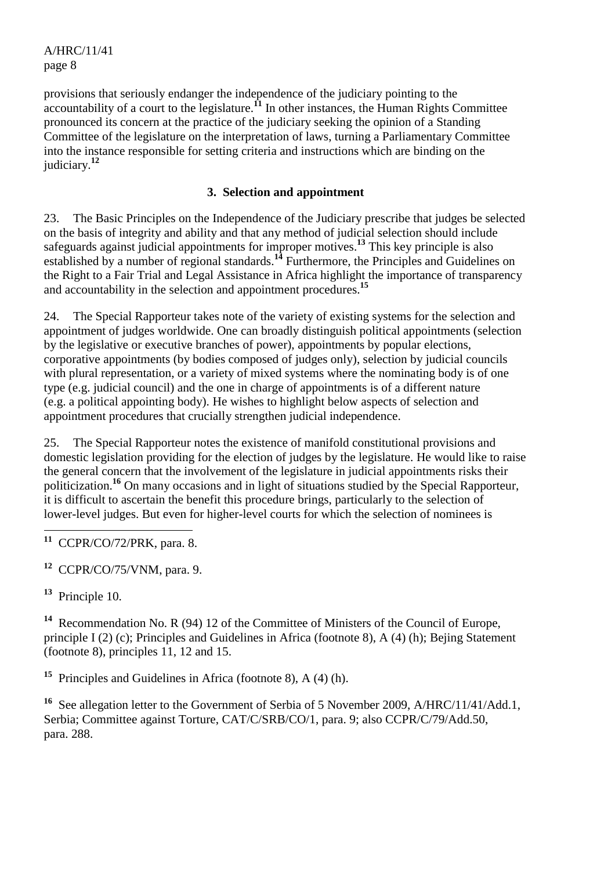provisions that seriously endanger the independence of the judiciary pointing to the accountability of a court to the legislature.<sup>11</sup> In other instances, the Human Rights Committee pronounced its concern at the practice of the judiciary seeking the opinion of a Standing Committee of the legislature on the interpretation of laws, turning a Parliamentary Committee into the instance responsible for setting criteria and instructions which are binding on the iudiciary.<sup>12</sup>

## **3. Selection and appointment**

23. The Basic Principles on the Independence of the Judiciary prescribe that judges be selected on the basis of integrity and ability and that any method of judicial selection should include safeguards against judicial appointments for improper motives.<sup>13</sup> This key principle is also established by a number of regional standards.<sup>14</sup> Furthermore, the Principles and Guidelines on the Right to a Fair Trial and Legal Assistance in Africa highlight the importance of transparency and accountability in the selection and appointment procedures.**<sup>15</sup>**

24. The Special Rapporteur takes note of the variety of existing systems for the selection and appointment of judges worldwide. One can broadly distinguish political appointments (selection by the legislative or executive branches of power), appointments by popular elections, corporative appointments (by bodies composed of judges only), selection by judicial councils with plural representation, or a variety of mixed systems where the nominating body is of one type (e.g. judicial council) and the one in charge of appointments is of a different nature (e.g. a political appointing body). He wishes to highlight below aspects of selection and appointment procedures that crucially strengthen judicial independence.

25. The Special Rapporteur notes the existence of manifold constitutional provisions and domestic legislation providing for the election of judges by the legislature. He would like to raise the general concern that the involvement of the legislature in judicial appointments risks their politicization.**<sup>16</sup>** On many occasions and in light of situations studied by the Special Rapporteur, it is difficult to ascertain the benefit this procedure brings, particularly to the selection of lower-level judges. But even for higher-level courts for which the selection of nominees is

11 **<sup>11</sup>** CCPR/CO/72/PRK, para. 8.

**<sup>12</sup>** CCPR/CO/75/VNM, para. 9.

**<sup>13</sup>** Principle 10.

**<sup>14</sup>** Recommendation No. R (94) 12 of the Committee of Ministers of the Council of Europe, principle I (2) (c); Principles and Guidelines in Africa (footnote 8), A (4) (h); Bejing Statement (footnote 8), principles 11, 12 and 15.

**<sup>15</sup>** Principles and Guidelines in Africa (footnote 8), A (4) (h).

<sup>16</sup> See allegation letter to the Government of Serbia of 5 November 2009, A/HRC/11/41/Add.1, Serbia; Committee against Torture, CAT/C/SRB/CO/1, para. 9; also CCPR/C/79/Add.50, para. 288.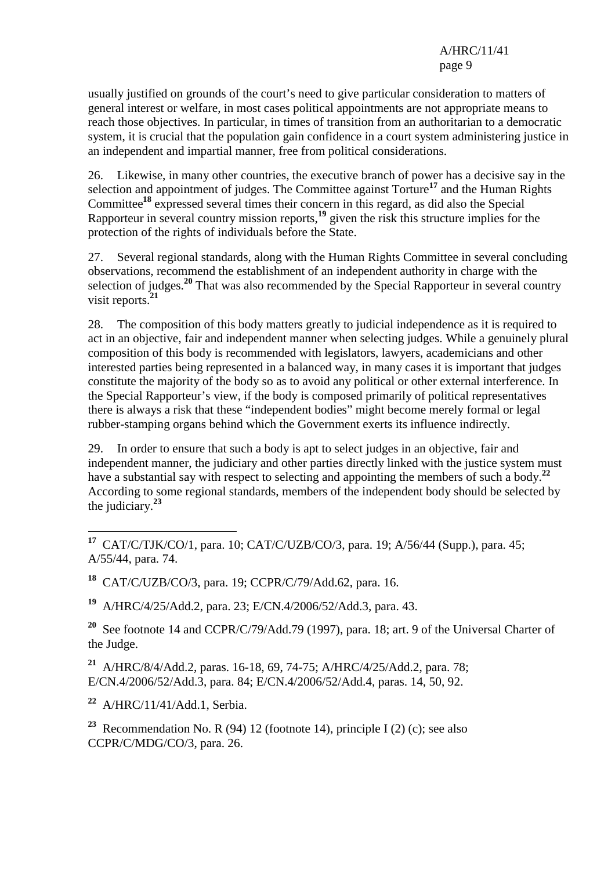usually justified on grounds of the court's need to give particular consideration to matters of general interest or welfare, in most cases political appointments are not appropriate means to reach those objectives. In particular, in times of transition from an authoritarian to a democratic system, it is crucial that the population gain confidence in a court system administering justice in an independent and impartial manner, free from political considerations.

26. Likewise, in many other countries, the executive branch of power has a decisive say in the selection and appointment of judges. The Committee against Torture**<sup>17</sup>** and the Human Rights Committee**<sup>18</sup>** expressed several times their concern in this regard, as did also the Special Rapporteur in several country mission reports,<sup>19</sup> given the risk this structure implies for the protection of the rights of individuals before the State.

27. Several regional standards, along with the Human Rights Committee in several concluding observations, recommend the establishment of an independent authority in charge with the selection of judges.**<sup>20</sup>** That was also recommended by the Special Rapporteur in several country visit reports.**<sup>21</sup>**

28. The composition of this body matters greatly to judicial independence as it is required to act in an objective, fair and independent manner when selecting judges. While a genuinely plural composition of this body is recommended with legislators, lawyers, academicians and other interested parties being represented in a balanced way, in many cases it is important that judges constitute the majority of the body so as to avoid any political or other external interference. In the Special Rapporteur's view, if the body is composed primarily of political representatives there is always a risk that these "independent bodies" might become merely formal or legal rubber-stamping organs behind which the Government exerts its influence indirectly.

29. In order to ensure that such a body is apt to select judges in an objective, fair and independent manner, the judiciary and other parties directly linked with the justice system must have a substantial say with respect to selecting and appointing the members of such a body.**<sup>22</sup>** According to some regional standards, members of the independent body should be selected by the judiciary.**<sup>23</sup>**

**<sup>18</sup>** CAT/C/UZB/CO/3, para. 19; CCPR/C/79/Add.62, para. 16.

**<sup>19</sup>** A/HRC/4/25/Add.2, para. 23; E/CN.4/2006/52/Add.3, para. 43.

**<sup>20</sup>** See footnote 14 and CCPR/C/79/Add.79 (1997), para. 18; art. 9 of the Universal Charter of the Judge.

**<sup>21</sup>** A/HRC/8/4/Add.2, paras. 16-18, 69, 74-75; A/HRC/4/25/Add.2, para. 78; E/CN.4/2006/52/Add.3, para. 84; E/CN.4/2006/52/Add.4, paras. 14, 50, 92.

**<sup>22</sup>** A/HRC/11/41/Add.1, Serbia.

<sup>23</sup> Recommendation No. R (94) 12 (footnote 14), principle I (2) (c); see also CCPR/C/MDG/CO/3, para. 26.

 $\overline{a}$ **<sup>17</sup>** CAT/C/TJK/CO/1, para. 10; CAT/C/UZB/CO/3, para. 19; A/56/44 (Supp.), para. 45; A/55/44, para. 74.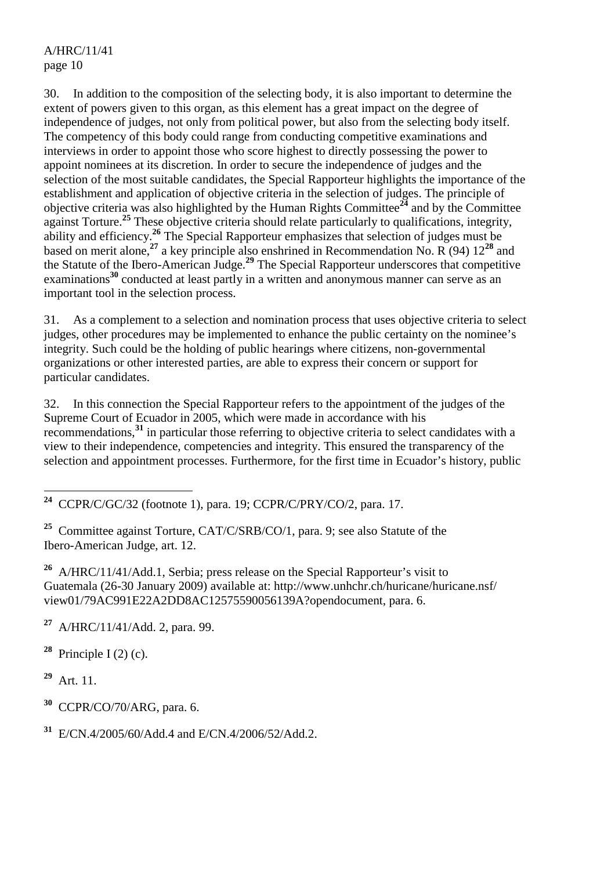30. In addition to the composition of the selecting body, it is also important to determine the extent of powers given to this organ, as this element has a great impact on the degree of independence of judges, not only from political power, but also from the selecting body itself. The competency of this body could range from conducting competitive examinations and interviews in order to appoint those who score highest to directly possessing the power to appoint nominees at its discretion. In order to secure the independence of judges and the selection of the most suitable candidates, the Special Rapporteur highlights the importance of the establishment and application of objective criteria in the selection of judges. The principle of objective criteria was also highlighted by the Human Rights Committee**<sup>24</sup>** and by the Committee against Torture.**<sup>25</sup>** These objective criteria should relate particularly to qualifications, integrity, ability and efficiency.**<sup>26</sup>** The Special Rapporteur emphasizes that selection of judges must be based on merit alone,**<sup>27</sup>** a key principle also enshrined in Recommendation No. R (94) 12**<sup>28</sup>** and the Statute of the Ibero-American Judge.**<sup>29</sup>** The Special Rapporteur underscores that competitive examinations<sup>30</sup> conducted at least partly in a written and anonymous manner can serve as an important tool in the selection process.

31. As a complement to a selection and nomination process that uses objective criteria to select judges, other procedures may be implemented to enhance the public certainty on the nominee's integrity. Such could be the holding of public hearings where citizens, non-governmental organizations or other interested parties, are able to express their concern or support for particular candidates.

32. In this connection the Special Rapporteur refers to the appointment of the judges of the Supreme Court of Ecuador in 2005, which were made in accordance with his recommendations,**<sup>31</sup>** in particular those referring to objective criteria to select candidates with a view to their independence, competencies and integrity. This ensured the transparency of the selection and appointment processes. Furthermore, for the first time in Ecuador's history, public

24 **<sup>24</sup>** CCPR/C/GC/32 (footnote 1), para. 19; CCPR/C/PRY/CO/2, para. 17.

**<sup>25</sup>** Committee against Torture, CAT/C/SRB/CO/1, para. 9; see also Statute of the Ibero-American Judge, art. 12.

**<sup>26</sup>** A/HRC/11/41/Add.1, Serbia; press release on the Special Rapporteur's visit to Guatemala (26-30 January 2009) available at: http://www.unhchr.ch/huricane/huricane.nsf/ view01/79AC991E22A2DD8AC12575590056139A?opendocument, para. 6.

**<sup>27</sup>** A/HRC/11/41/Add. 2, para. 99.

**<sup>28</sup>** Principle I (2) (c).

**<sup>29</sup>** Art. 11.

**<sup>30</sup>** CCPR/CO/70/ARG, para. 6.

**<sup>31</sup>** E/CN.4/2005/60/Add.4 and E/CN.4/2006/52/Add.2.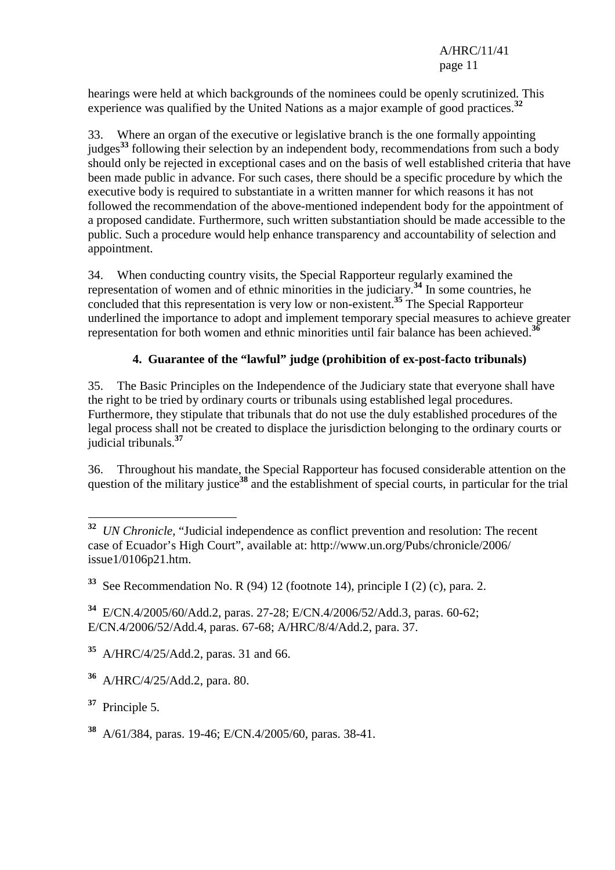hearings were held at which backgrounds of the nominees could be openly scrutinized. This experience was qualified by the United Nations as a major example of good practices.**<sup>32</sup>**

33. Where an organ of the executive or legislative branch is the one formally appointing judges**<sup>33</sup>** following their selection by an independent body, recommendations from such a body should only be rejected in exceptional cases and on the basis of well established criteria that have been made public in advance. For such cases, there should be a specific procedure by which the executive body is required to substantiate in a written manner for which reasons it has not followed the recommendation of the above-mentioned independent body for the appointment of a proposed candidate. Furthermore, such written substantiation should be made accessible to the public. Such a procedure would help enhance transparency and accountability of selection and appointment.

34. When conducting country visits, the Special Rapporteur regularly examined the representation of women and of ethnic minorities in the judiciary.**<sup>34</sup>** In some countries, he concluded that this representation is very low or non-existent.**<sup>35</sup>** The Special Rapporteur underlined the importance to adopt and implement temporary special measures to achieve greater representation for both women and ethnic minorities until fair balance has been achieved.**<sup>36</sup>**

## **4. Guarantee of the "lawful" judge (prohibition of ex-post-facto tribunals)**

35. The Basic Principles on the Independence of the Judiciary state that everyone shall have the right to be tried by ordinary courts or tribunals using established legal procedures. Furthermore, they stipulate that tribunals that do not use the duly established procedures of the legal process shall not be created to displace the jurisdiction belonging to the ordinary courts or judicial tribunals.**<sup>37</sup>**

36. Throughout his mandate, the Special Rapporteur has focused considerable attention on the question of the military justice**<sup>38</sup>** and the establishment of special courts, in particular for the trial

**<sup>34</sup>** E/CN.4/2005/60/Add.2, paras. 27-28; E/CN.4/2006/52/Add.3, paras. 60-62; E/CN.4/2006/52/Add.4, paras. 67-68; A/HRC/8/4/Add.2, para. 37.

 $\overline{a}$ 

**<sup>32</sup>** *UN Chronicle*, "Judicial independence as conflict prevention and resolution: The recent case of Ecuador's High Court", available at: http://www.un.org/Pubs/chronicle/2006/ issue1/0106p21.htm.

**<sup>33</sup>** See Recommendation No. R (94) 12 (footnote 14), principle I (2) (c), para. 2.

**<sup>35</sup>** A/HRC/4/25/Add.2, paras. 31 and 66.

**<sup>36</sup>** A/HRC/4/25/Add.2, para. 80.

**<sup>37</sup>** Principle 5.

**<sup>38</sup>** A/61/384, paras. 19-46; E/CN.4/2005/60, paras. 38-41.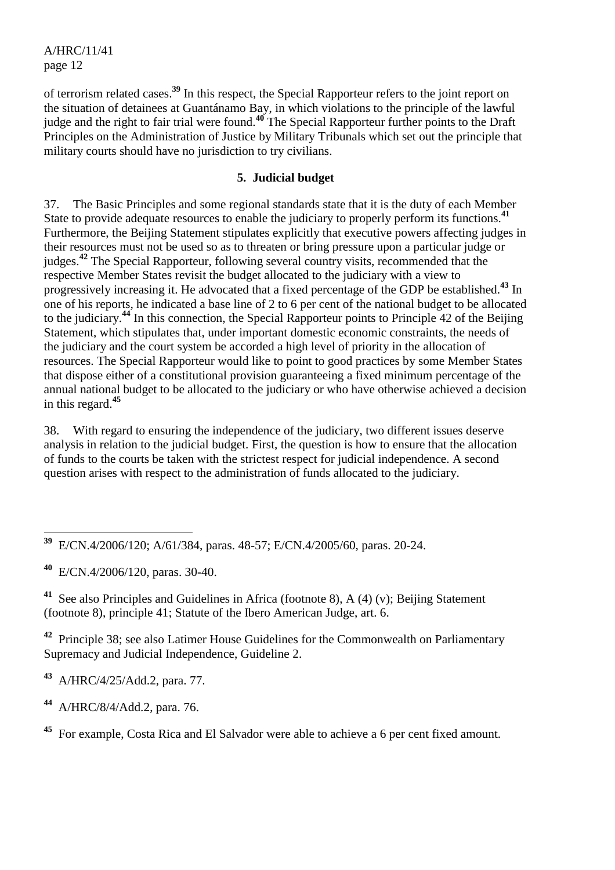of terrorism related cases.**<sup>39</sup>** In this respect, the Special Rapporteur refers to the joint report on the situation of detainees at Guantánamo Bay, in which violations to the principle of the lawful judge and the right to fair trial were found.**<sup>40</sup>** The Special Rapporteur further points to the Draft Principles on the Administration of Justice by Military Tribunals which set out the principle that military courts should have no jurisdiction to try civilians.

#### **5. Judicial budget**

37. The Basic Principles and some regional standards state that it is the duty of each Member State to provide adequate resources to enable the judiciary to properly perform its functions.**<sup>41</sup>** Furthermore, the Beijing Statement stipulates explicitly that executive powers affecting judges in their resources must not be used so as to threaten or bring pressure upon a particular judge or judges.**<sup>42</sup>** The Special Rapporteur, following several country visits, recommended that the respective Member States revisit the budget allocated to the judiciary with a view to progressively increasing it. He advocated that a fixed percentage of the GDP be established.**<sup>43</sup>** In one of his reports, he indicated a base line of 2 to 6 per cent of the national budget to be allocated to the judiciary.**<sup>44</sup>** In this connection, the Special Rapporteur points to Principle 42 of the Beijing Statement, which stipulates that, under important domestic economic constraints, the needs of the judiciary and the court system be accorded a high level of priority in the allocation of resources. The Special Rapporteur would like to point to good practices by some Member States that dispose either of a constitutional provision guaranteeing a fixed minimum percentage of the annual national budget to be allocated to the judiciary or who have otherwise achieved a decision in this regard.**<sup>45</sup>**

38. With regard to ensuring the independence of the judiciary, two different issues deserve analysis in relation to the judicial budget. First, the question is how to ensure that the allocation of funds to the courts be taken with the strictest respect for judicial independence. A second question arises with respect to the administration of funds allocated to the judiciary.

**<sup>42</sup>** Principle 38; see also Latimer House Guidelines for the Commonwealth on Parliamentary Supremacy and Judicial Independence, Guideline 2.

**<sup>43</sup>** A/HRC/4/25/Add.2, para. 77.

**<sup>44</sup>** A/HRC/8/4/Add.2, para. 76.

**<sup>45</sup>** For example, Costa Rica and El Salvador were able to achieve a 6 per cent fixed amount.

 $\overline{a}$ **<sup>39</sup>** E/CN.4/2006/120; A/61/384, paras. 48-57; E/CN.4/2005/60, paras. 20-24.

**<sup>40</sup>** E/CN.4/2006/120, paras. 30-40.

**<sup>41</sup>** See also Principles and Guidelines in Africa (footnote 8), A (4) (v); Beijing Statement (footnote 8), principle 41; Statute of the Ibero American Judge, art. 6.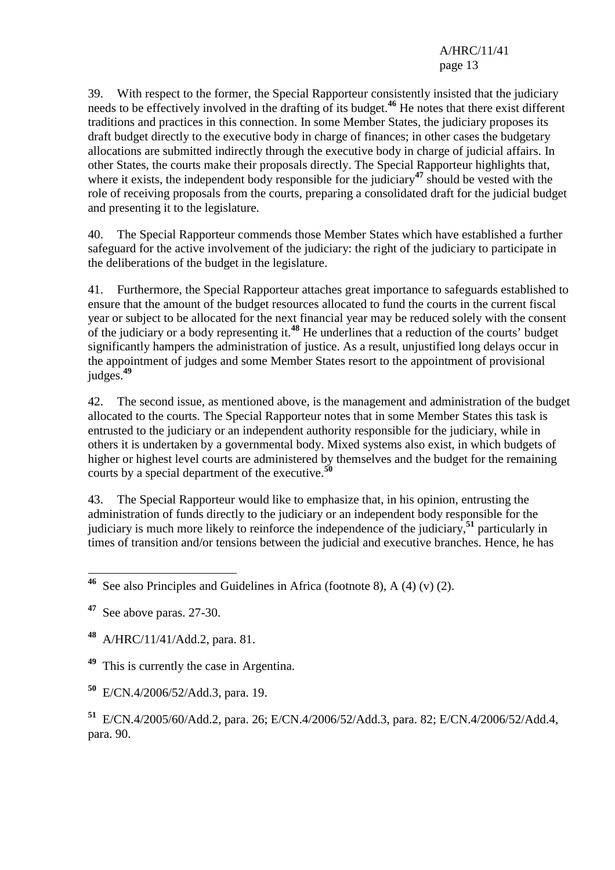39. With respect to the former, the Special Rapporteur consistently insisted that the judiciary needs to be effectively involved in the drafting of its budget.**<sup>46</sup>** He notes that there exist different traditions and practices in this connection. In some Member States, the judiciary proposes its draft budget directly to the executive body in charge of finances; in other cases the budgetary allocations are submitted indirectly through the executive body in charge of judicial affairs. In other States, the courts make their proposals directly. The Special Rapporteur highlights that, where it exists, the independent body responsible for the judiciary<sup>47</sup> should be vested with the role of receiving proposals from the courts, preparing a consolidated draft for the judicial budget and presenting it to the legislature.

40. The Special Rapporteur commends those Member States which have established a further safeguard for the active involvement of the judiciary: the right of the judiciary to participate in the deliberations of the budget in the legislature.

41. Furthermore, the Special Rapporteur attaches great importance to safeguards established to ensure that the amount of the budget resources allocated to fund the courts in the current fiscal year or subject to be allocated for the next financial year may be reduced solely with the consent of the judiciary or a body representing it.**<sup>48</sup>** He underlines that a reduction of the courts' budget significantly hampers the administration of justice. As a result, unjustified long delays occur in the appointment of judges and some Member States resort to the appointment of provisional judges.**<sup>49</sup>**

42. The second issue, as mentioned above, is the management and administration of the budget allocated to the courts. The Special Rapporteur notes that in some Member States this task is entrusted to the judiciary or an independent authority responsible for the judiciary, while in others it is undertaken by a governmental body. Mixed systems also exist, in which budgets of higher or highest level courts are administered by themselves and the budget for the remaining courts by a special department of the executive.**<sup>50</sup>**

43. The Special Rapporteur would like to emphasize that, in his opinion, entrusting the administration of funds directly to the judiciary or an independent body responsible for the judiciary is much more likely to reinforce the independence of the judiciary,**<sup>51</sup>** particularly in times of transition and/or tensions between the judicial and executive branches. Hence, he has

 $\overline{a}$ 

- **<sup>48</sup>** A/HRC/11/41/Add.2, para. 81.
- **<sup>49</sup>** This is currently the case in Argentina.
- **<sup>50</sup>** E/CN.4/2006/52/Add.3, para. 19.

**<sup>46</sup>** See also Principles and Guidelines in Africa (footnote 8), A (4) (v) (2).

**<sup>47</sup>** See above paras. 27-30.

**<sup>51</sup>** E/CN.4/2005/60/Add.2, para. 26; E/CN.4/2006/52/Add.3, para. 82; E/CN.4/2006/52/Add.4, para. 90.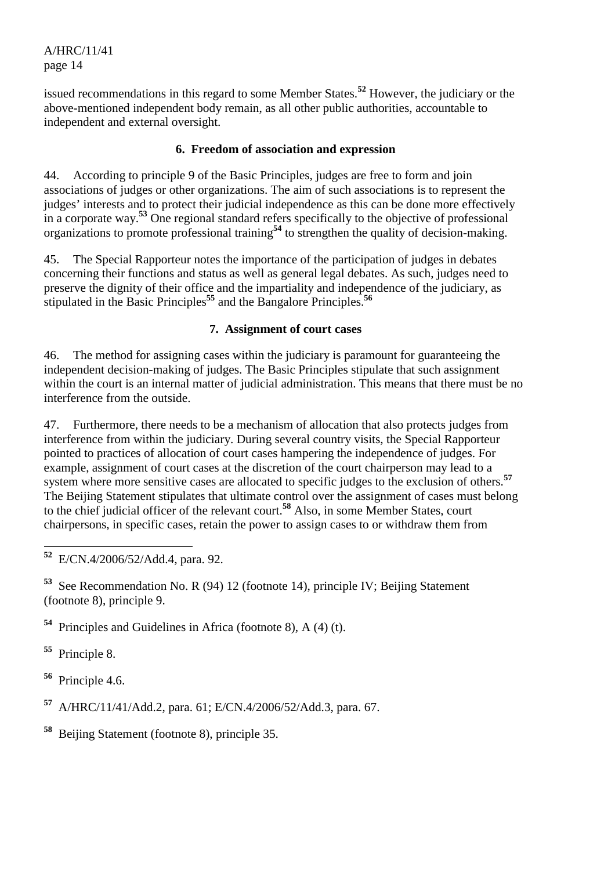issued recommendations in this regard to some Member States.**<sup>52</sup>** However, the judiciary or the above-mentioned independent body remain, as all other public authorities, accountable to independent and external oversight.

#### **6. Freedom of association and expression**

44. According to principle 9 of the Basic Principles, judges are free to form and join associations of judges or other organizations. The aim of such associations is to represent the judges' interests and to protect their judicial independence as this can be done more effectively in a corporate way.<sup>53</sup> One regional standard refers specifically to the objective of professional organizations to promote professional training**<sup>54</sup>** to strengthen the quality of decision-making.

45. The Special Rapporteur notes the importance of the participation of judges in debates concerning their functions and status as well as general legal debates. As such, judges need to preserve the dignity of their office and the impartiality and independence of the judiciary, as stipulated in the Basic Principles**<sup>55</sup>** and the Bangalore Principles.**<sup>56</sup>**

#### **7. Assignment of court cases**

46. The method for assigning cases within the judiciary is paramount for guaranteeing the independent decision-making of judges. The Basic Principles stipulate that such assignment within the court is an internal matter of judicial administration. This means that there must be no interference from the outside.

47. Furthermore, there needs to be a mechanism of allocation that also protects judges from interference from within the judiciary. During several country visits, the Special Rapporteur pointed to practices of allocation of court cases hampering the independence of judges. For example, assignment of court cases at the discretion of the court chairperson may lead to a system where more sensitive cases are allocated to specific judges to the exclusion of others.**<sup>57</sup>** The Beijing Statement stipulates that ultimate control over the assignment of cases must belong to the chief judicial officer of the relevant court.**<sup>58</sup>** Also, in some Member States, court chairpersons, in specific cases, retain the power to assign cases to or withdraw them from

**<sup>53</sup>** See Recommendation No. R (94) 12 (footnote 14), principle IV; Beijing Statement (footnote 8), principle 9.

**<sup>54</sup>** Principles and Guidelines in Africa (footnote 8), A (4) (t).

**<sup>55</sup>** Principle 8.

**<sup>56</sup>** Principle 4.6.

**<sup>57</sup>** A/HRC/11/41/Add.2, para. 61; E/CN.4/2006/52/Add.3, para. 67.

**<sup>58</sup>** Beijing Statement (footnote 8), principle 35.

 ${\bf 52}$ **<sup>52</sup>** E/CN.4/2006/52/Add.4, para. 92.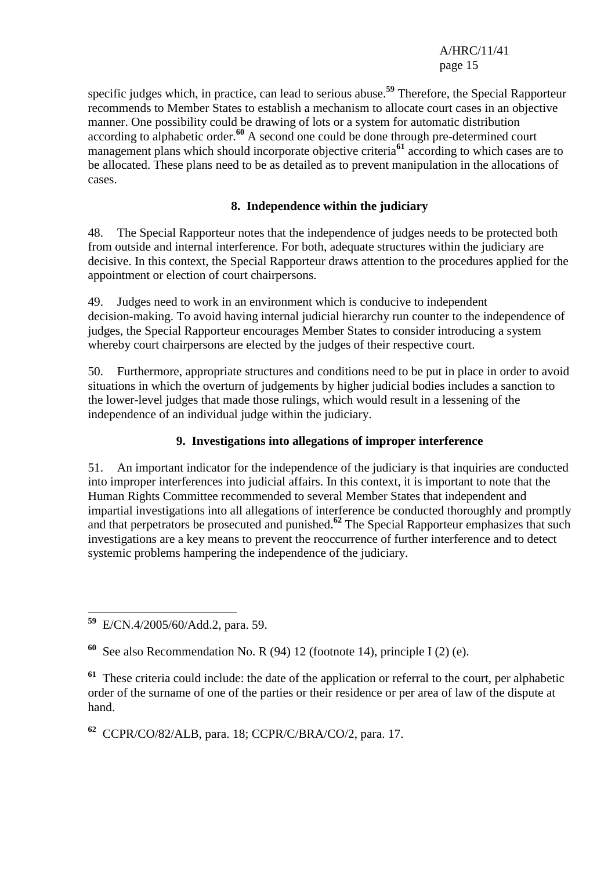specific judges which, in practice, can lead to serious abuse.**<sup>59</sup>** Therefore, the Special Rapporteur recommends to Member States to establish a mechanism to allocate court cases in an objective manner. One possibility could be drawing of lots or a system for automatic distribution according to alphabetic order.**<sup>60</sup>** A second one could be done through pre-determined court management plans which should incorporate objective criteria<sup>61</sup> according to which cases are to be allocated. These plans need to be as detailed as to prevent manipulation in the allocations of cases.

## **8. Independence within the judiciary**

48. The Special Rapporteur notes that the independence of judges needs to be protected both from outside and internal interference. For both, adequate structures within the judiciary are decisive. In this context, the Special Rapporteur draws attention to the procedures applied for the appointment or election of court chairpersons.

49. Judges need to work in an environment which is conducive to independent decision-making. To avoid having internal judicial hierarchy run counter to the independence of judges, the Special Rapporteur encourages Member States to consider introducing a system whereby court chairpersons are elected by the judges of their respective court.

50. Furthermore, appropriate structures and conditions need to be put in place in order to avoid situations in which the overturn of judgements by higher judicial bodies includes a sanction to the lower-level judges that made those rulings, which would result in a lessening of the independence of an individual judge within the judiciary.

## **9. Investigations into allegations of improper interference**

51. An important indicator for the independence of the judiciary is that inquiries are conducted into improper interferences into judicial affairs. In this context, it is important to note that the Human Rights Committee recommended to several Member States that independent and impartial investigations into all allegations of interference be conducted thoroughly and promptly and that perpetrators be prosecuted and punished.<sup>62</sup> The Special Rapporteur emphasizes that such investigations are a key means to prevent the reoccurrence of further interference and to detect systemic problems hampering the independence of the judiciary.

**<sup>62</sup>** CCPR/CO/82/ALB, para. 18; CCPR/C/BRA/CO/2, para. 17.

 $\overline{a}$ **<sup>59</sup>** E/CN.4/2005/60/Add.2, para. 59.

**<sup>60</sup>** See also Recommendation No. R (94) 12 (footnote 14), principle I (2) (e).

**<sup>61</sup>** These criteria could include: the date of the application or referral to the court, per alphabetic order of the surname of one of the parties or their residence or per area of law of the dispute at hand.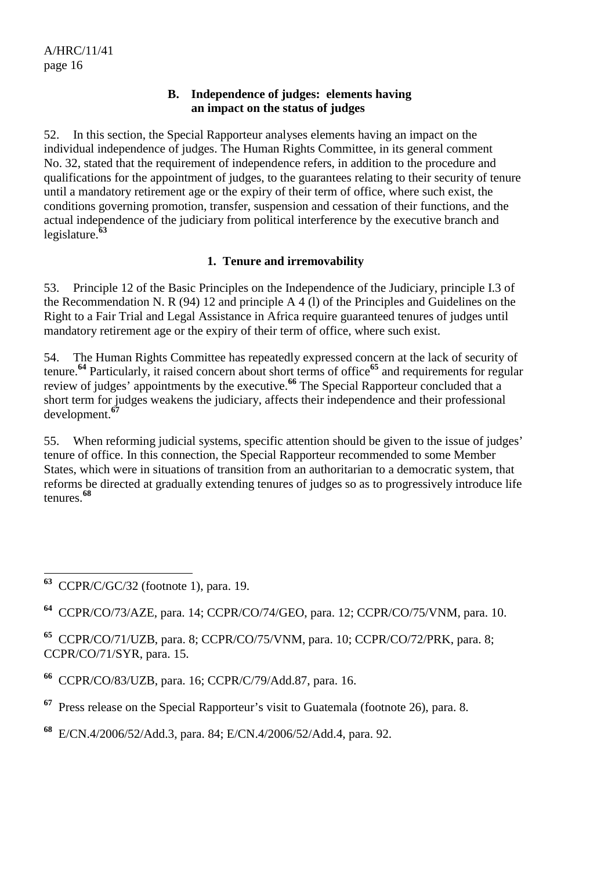#### **B. Independence of judges: elements having an impact on the status of judges**

52. In this section, the Special Rapporteur analyses elements having an impact on the individual independence of judges. The Human Rights Committee, in its general comment No. 32, stated that the requirement of independence refers, in addition to the procedure and qualifications for the appointment of judges, to the guarantees relating to their security of tenure until a mandatory retirement age or the expiry of their term of office, where such exist, the conditions governing promotion, transfer, suspension and cessation of their functions, and the actual independence of the judiciary from political interference by the executive branch and legislature.**<sup>63</sup>**

## **1. Tenure and irremovability**

53. Principle 12 of the Basic Principles on the Independence of the Judiciary, principle I.3 of the Recommendation N. R (94) 12 and principle A 4 (l) of the Principles and Guidelines on the Right to a Fair Trial and Legal Assistance in Africa require guaranteed tenures of judges until mandatory retirement age or the expiry of their term of office, where such exist.

54. The Human Rights Committee has repeatedly expressed concern at the lack of security of tenure.**<sup>64</sup>** Particularly, it raised concern about short terms of office**<sup>65</sup>** and requirements for regular review of judges' appointments by the executive.**<sup>66</sup>** The Special Rapporteur concluded that a short term for judges weakens the judiciary, affects their independence and their professional development.**<sup>67</sup>**

55. When reforming judicial systems, specific attention should be given to the issue of judges' tenure of office. In this connection, the Special Rapporteur recommended to some Member States, which were in situations of transition from an authoritarian to a democratic system, that reforms be directed at gradually extending tenures of judges so as to progressively introduce life tenures.**<sup>68</sup>**

**<sup>65</sup>** CCPR/CO/71/UZB, para. 8; CCPR/CO/75/VNM, para. 10; CCPR/CO/72/PRK, para. 8; CCPR/CO/71/SYR, para. 15.

 $\overline{a}$ **<sup>63</sup>** CCPR/C/GC/32 (footnote 1), para. 19.

**<sup>64</sup>** CCPR/CO/73/AZE, para. 14; CCPR/CO/74/GEO, para. 12; CCPR/CO/75/VNM, para. 10.

**<sup>66</sup>** CCPR/CO/83/UZB, para. 16; CCPR/C/79/Add.87, para. 16.

**<sup>67</sup>** Press release on the Special Rapporteur's visit to Guatemala (footnote 26), para. 8.

**<sup>68</sup>** E/CN.4/2006/52/Add.3, para. 84; E/CN.4/2006/52/Add.4, para. 92.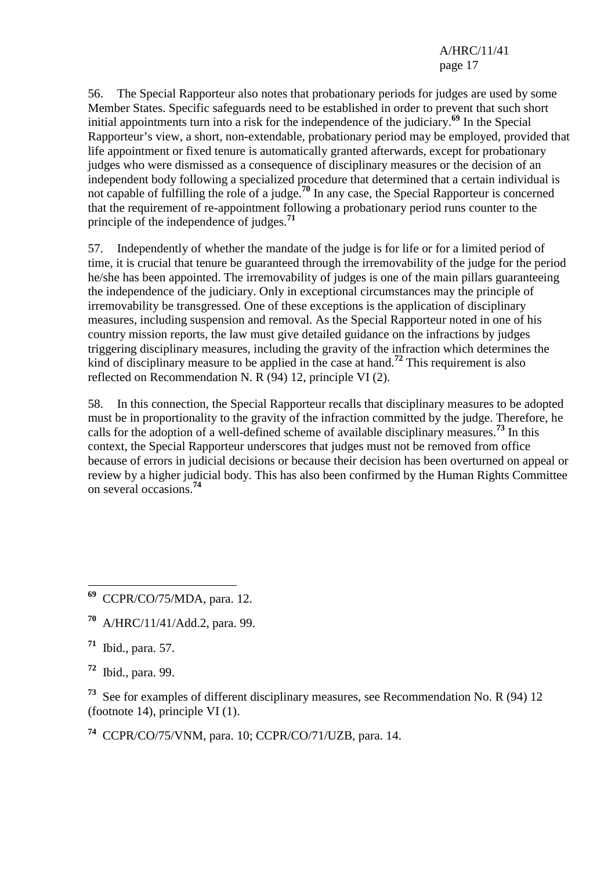56. The Special Rapporteur also notes that probationary periods for judges are used by some Member States. Specific safeguards need to be established in order to prevent that such short initial appointments turn into a risk for the independence of the judiciary.**<sup>69</sup>** In the Special Rapporteur's view, a short, non-extendable, probationary period may be employed, provided that life appointment or fixed tenure is automatically granted afterwards, except for probationary judges who were dismissed as a consequence of disciplinary measures or the decision of an independent body following a specialized procedure that determined that a certain individual is not capable of fulfilling the role of a judge.**<sup>70</sup>** In any case, the Special Rapporteur is concerned that the requirement of re-appointment following a probationary period runs counter to the principle of the independence of judges.**<sup>71</sup>**

57. Independently of whether the mandate of the judge is for life or for a limited period of time, it is crucial that tenure be guaranteed through the irremovability of the judge for the period he/she has been appointed. The irremovability of judges is one of the main pillars guaranteeing the independence of the judiciary. Only in exceptional circumstances may the principle of irremovability be transgressed. One of these exceptions is the application of disciplinary measures, including suspension and removal. As the Special Rapporteur noted in one of his country mission reports, the law must give detailed guidance on the infractions by judges triggering disciplinary measures, including the gravity of the infraction which determines the kind of disciplinary measure to be applied in the case at hand.**<sup>72</sup>** This requirement is also reflected on Recommendation N. R (94) 12, principle VI (2).

58. In this connection, the Special Rapporteur recalls that disciplinary measures to be adopted must be in proportionality to the gravity of the infraction committed by the judge. Therefore, he calls for the adoption of a well-defined scheme of available disciplinary measures.**<sup>73</sup>** In this context, the Special Rapporteur underscores that judges must not be removed from office because of errors in judicial decisions or because their decision has been overturned on appeal or review by a higher judicial body. This has also been confirmed by the Human Rights Committee on several occasions.**<sup>74</sup>**

**<sup>71</sup>** Ibid., para. 57.

**<sup>72</sup>** Ibid., para. 99.

**<sup>73</sup>** See for examples of different disciplinary measures, see Recommendation No. R (94) 12 (footnote 14), principle VI (1).

**<sup>74</sup>** CCPR/CO/75/VNM, para. 10; CCPR/CO/71/UZB, para. 14.

 $69\,$ **<sup>69</sup>** CCPR/CO/75/MDA, para. 12.

**<sup>70</sup>** A/HRC/11/41/Add.2, para. 99.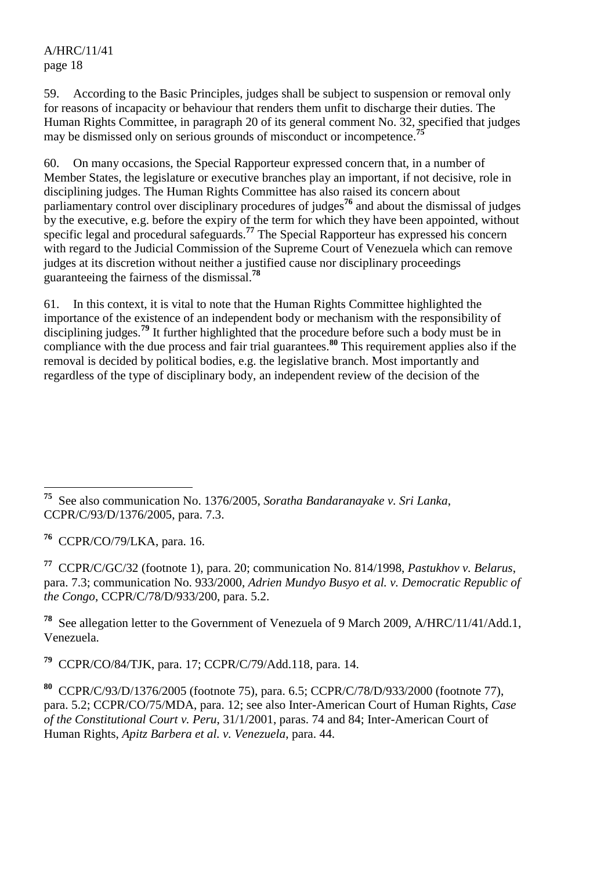59. According to the Basic Principles, judges shall be subject to suspension or removal only for reasons of incapacity or behaviour that renders them unfit to discharge their duties. The Human Rights Committee, in paragraph 20 of its general comment No. 32, specified that judges may be dismissed only on serious grounds of misconduct or incompetence.

60. On many occasions, the Special Rapporteur expressed concern that, in a number of Member States, the legislature or executive branches play an important, if not decisive, role in disciplining judges. The Human Rights Committee has also raised its concern about parliamentary control over disciplinary procedures of judges**<sup>76</sup>** and about the dismissal of judges by the executive, e.g. before the expiry of the term for which they have been appointed, without specific legal and procedural safeguards.**<sup>77</sup>** The Special Rapporteur has expressed his concern with regard to the Judicial Commission of the Supreme Court of Venezuela which can remove judges at its discretion without neither a justified cause nor disciplinary proceedings guaranteeing the fairness of the dismissal.**<sup>78</sup>**

61. In this context, it is vital to note that the Human Rights Committee highlighted the importance of the existence of an independent body or mechanism with the responsibility of disciplining judges.**<sup>79</sup>** It further highlighted that the procedure before such a body must be in compliance with the due process and fair trial guarantees.**<sup>80</sup>** This requirement applies also if the removal is decided by political bodies, e.g. the legislative branch. Most importantly and regardless of the type of disciplinary body, an independent review of the decision of the

**<sup>76</sup>** CCPR/CO/79/LKA, para. 16.

**<sup>77</sup>** CCPR/C/GC/32 (footnote 1), para. 20; communication No. 814/1998, *Pastukhov v. Belarus*, para. 7.3; communication No. 933/2000, *Adrien Mundyo Busyo et al. v. Democratic Republic of the Congo*, CCPR/C/78/D/933/200, para. 5.2.

**<sup>78</sup>** See allegation letter to the Government of Venezuela of 9 March 2009, A/HRC/11/41/Add.1, Venezuela.

**<sup>79</sup>** CCPR/CO/84/TJK, para. 17; CCPR/C/79/Add.118, para. 14.

**<sup>80</sup>** CCPR/C/93/D/1376/2005 (footnote 75), para. 6.5; CCPR/C/78/D/933/2000 (footnote 77), para. 5.2; CCPR/CO/75/MDA, para. 12; see also Inter-American Court of Human Rights, *Case of the Constitutional Court v. Peru*, 31/1/2001, paras. 74 and 84; Inter-American Court of Human Rights, *Apitz Barbera et al. v. Venezuela*, para. 44.

 ${\bf 75}$ **<sup>75</sup>** See also communication No. 1376/2005, *Soratha Bandaranayake v. Sri Lanka*, CCPR/C/93/D/1376/2005, para. 7.3.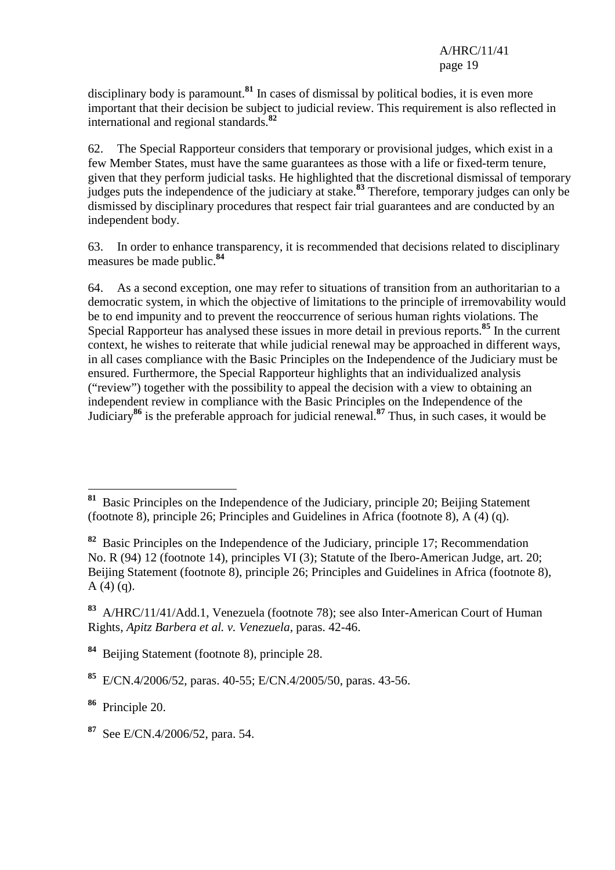disciplinary body is paramount.<sup>81</sup> In cases of dismissal by political bodies, it is even more important that their decision be subject to judicial review. This requirement is also reflected in international and regional standards.**<sup>82</sup>**

62. The Special Rapporteur considers that temporary or provisional judges, which exist in a few Member States, must have the same guarantees as those with a life or fixed-term tenure, given that they perform judicial tasks. He highlighted that the discretional dismissal of temporary judges puts the independence of the judiciary at stake.**<sup>83</sup>** Therefore, temporary judges can only be dismissed by disciplinary procedures that respect fair trial guarantees and are conducted by an independent body.

63. In order to enhance transparency, it is recommended that decisions related to disciplinary measures be made public.**<sup>84</sup>**

64. As a second exception, one may refer to situations of transition from an authoritarian to a democratic system, in which the objective of limitations to the principle of irremovability would be to end impunity and to prevent the reoccurrence of serious human rights violations. The Special Rapporteur has analysed these issues in more detail in previous reports.**<sup>85</sup>** In the current context, he wishes to reiterate that while judicial renewal may be approached in different ways, in all cases compliance with the Basic Principles on the Independence of the Judiciary must be ensured. Furthermore, the Special Rapporteur highlights that an individualized analysis ("review") together with the possibility to appeal the decision with a view to obtaining an independent review in compliance with the Basic Principles on the Independence of the Judiciary**<sup>86</sup>** is the preferable approach for judicial renewal.**<sup>87</sup>** Thus, in such cases, it would be

 $\overline{a}$ 

**<sup>81</sup>** Basic Principles on the Independence of the Judiciary, principle 20; Beijing Statement (footnote 8), principle 26; Principles and Guidelines in Africa (footnote 8), A (4) (q).

**<sup>82</sup>** Basic Principles on the Independence of the Judiciary, principle 17; Recommendation No. R (94) 12 (footnote 14), principles VI (3); Statute of the Ibero-American Judge, art. 20; Beijing Statement (footnote 8), principle 26; Principles and Guidelines in Africa (footnote 8).  $A(4)(q)$ .

**<sup>83</sup>** A/HRC/11/41/Add.1, Venezuela (footnote 78); see also Inter-American Court of Human Rights, *Apitz Barbera et al. v. Venezuela*, paras. 42-46.

**<sup>84</sup>** Beijing Statement (footnote 8), principle 28.

**<sup>85</sup>** E/CN.4/2006/52, paras. 40-55; E/CN.4/2005/50, paras. 43-56.

**<sup>86</sup>** Principle 20.

**<sup>87</sup>** See E/CN.4/2006/52, para. 54.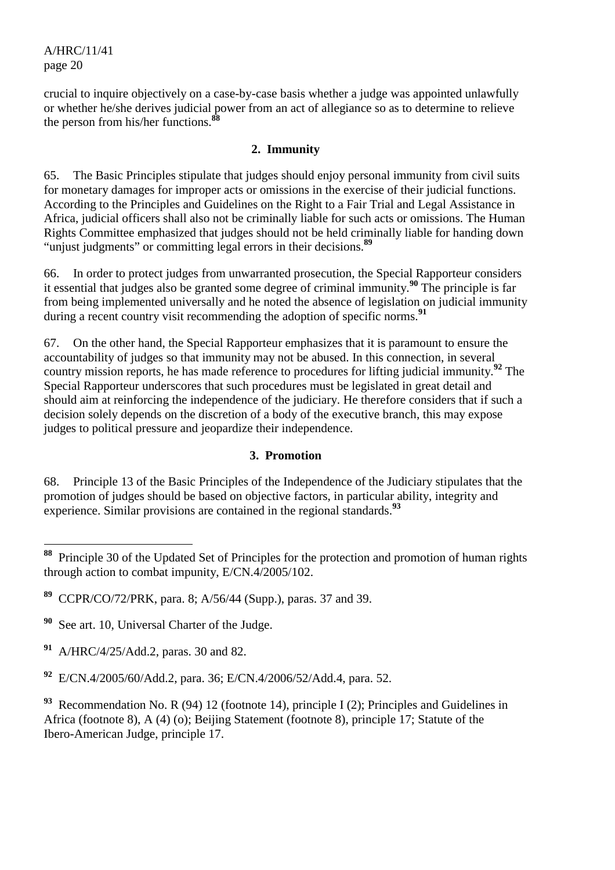crucial to inquire objectively on a case-by-case basis whether a judge was appointed unlawfully or whether he/she derives judicial power from an act of allegiance so as to determine to relieve the person from his/her functions.**<sup>88</sup>**

#### **2. Immunity**

65. The Basic Principles stipulate that judges should enjoy personal immunity from civil suits for monetary damages for improper acts or omissions in the exercise of their judicial functions. According to the Principles and Guidelines on the Right to a Fair Trial and Legal Assistance in Africa, judicial officers shall also not be criminally liable for such acts or omissions. The Human Rights Committee emphasized that judges should not be held criminally liable for handing down "unjust judgments" or committing legal errors in their decisions.**<sup>89</sup>**

66. In order to protect judges from unwarranted prosecution, the Special Rapporteur considers it essential that judges also be granted some degree of criminal immunity.**<sup>90</sup>** The principle is far from being implemented universally and he noted the absence of legislation on judicial immunity during a recent country visit recommending the adoption of specific norms.**<sup>91</sup>**

67. On the other hand, the Special Rapporteur emphasizes that it is paramount to ensure the accountability of judges so that immunity may not be abused. In this connection, in several country mission reports, he has made reference to procedures for lifting judicial immunity.**<sup>92</sup>** The Special Rapporteur underscores that such procedures must be legislated in great detail and should aim at reinforcing the independence of the judiciary. He therefore considers that if such a decision solely depends on the discretion of a body of the executive branch, this may expose judges to political pressure and jeopardize their independence.

#### **3. Promotion**

68. Principle 13 of the Basic Principles of the Independence of the Judiciary stipulates that the promotion of judges should be based on objective factors, in particular ability, integrity and experience. Similar provisions are contained in the regional standards.**<sup>93</sup>**

 $\overline{a}$ 

**<sup>88</sup>** Principle 30 of the Updated Set of Principles for the protection and promotion of human rights through action to combat impunity, E/CN.4/2005/102.

**<sup>89</sup>** CCPR/CO/72/PRK, para. 8; A/56/44 (Supp.), paras. 37 and 39.

**<sup>90</sup>** See art. 10, Universal Charter of the Judge.

**<sup>91</sup>** A/HRC/4/25/Add.2, paras. 30 and 82.

**<sup>92</sup>** E/CN.4/2005/60/Add.2, para. 36; E/CN.4/2006/52/Add.4, para. 52.

**<sup>93</sup>** Recommendation No. R (94) 12 (footnote 14), principle I (2); Principles and Guidelines in Africa (footnote 8), A (4) (o); Beijing Statement (footnote 8), principle 17; Statute of the Ibero-American Judge, principle 17.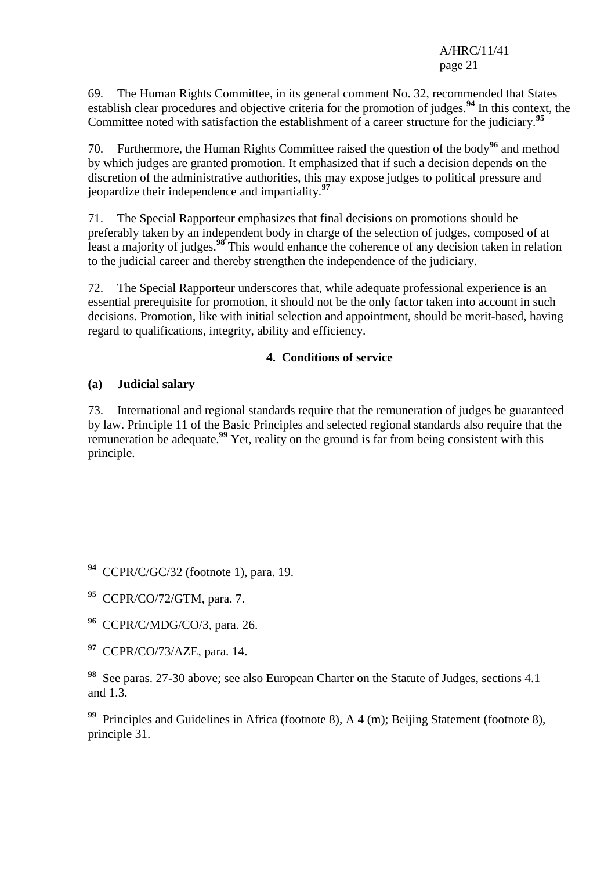69. The Human Rights Committee, in its general comment No. 32, recommended that States establish clear procedures and objective criteria for the promotion of judges.**<sup>94</sup>** In this context, the Committee noted with satisfaction the establishment of a career structure for the judiciary.**<sup>95</sup>**

70. Furthermore, the Human Rights Committee raised the question of the body**<sup>96</sup>** and method by which judges are granted promotion. It emphasized that if such a decision depends on the discretion of the administrative authorities, this may expose judges to political pressure and jeopardize their independence and impartiality.**<sup>97</sup>**

71. The Special Rapporteur emphasizes that final decisions on promotions should be preferably taken by an independent body in charge of the selection of judges, composed of at least a majority of judges.<sup>98</sup> This would enhance the coherence of any decision taken in relation to the judicial career and thereby strengthen the independence of the judiciary.

72. The Special Rapporteur underscores that, while adequate professional experience is an essential prerequisite for promotion, it should not be the only factor taken into account in such decisions. Promotion, like with initial selection and appointment, should be merit-based, having regard to qualifications, integrity, ability and efficiency.

#### **4. Conditions of service**

#### **(a) Judicial salary**

73. International and regional standards require that the remuneration of judges be guaranteed by law. Principle 11 of the Basic Principles and selected regional standards also require that the remuneration be adequate.<sup>99</sup> Yet, reality on the ground is far from being consistent with this principle.

<sup>99</sup> Principles and Guidelines in Africa (footnote 8), A 4 (m); Beijing Statement (footnote 8), principle 31.

 $\overline{a}$ **<sup>94</sup>** CCPR/C/GC/32 (footnote 1), para. 19.

**<sup>95</sup>** CCPR/CO/72/GTM, para. 7.

**<sup>96</sup>** CCPR/C/MDG/CO/3, para. 26.

**<sup>97</sup>** CCPR/CO/73/AZE, para. 14.

**<sup>98</sup>** See paras. 27-30 above; see also European Charter on the Statute of Judges, sections 4.1 and 1.3.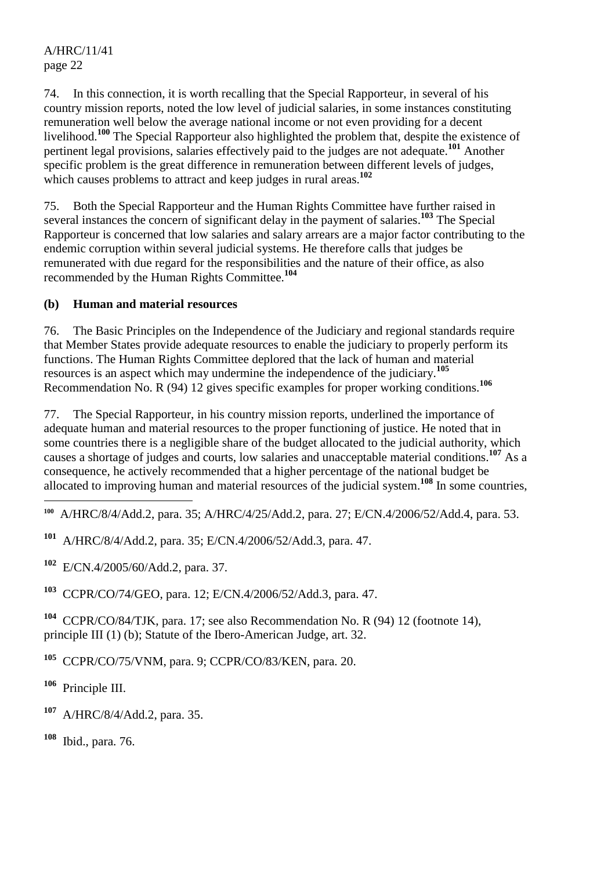74. In this connection, it is worth recalling that the Special Rapporteur, in several of his country mission reports, noted the low level of judicial salaries, in some instances constituting remuneration well below the average national income or not even providing for a decent livelihood.**<sup>100</sup>** The Special Rapporteur also highlighted the problem that, despite the existence of pertinent legal provisions, salaries effectively paid to the judges are not adequate.**<sup>101</sup>** Another specific problem is the great difference in remuneration between different levels of judges, which causes problems to attract and keep judges in rural areas.<sup>102</sup>

75. Both the Special Rapporteur and the Human Rights Committee have further raised in several instances the concern of significant delay in the payment of salaries.**<sup>103</sup>** The Special Rapporteur is concerned that low salaries and salary arrears are a major factor contributing to the endemic corruption within several judicial systems. He therefore calls that judges be remunerated with due regard for the responsibilities and the nature of their office, as also recommended by the Human Rights Committee.**<sup>104</sup>**

## **(b) Human and material resources**

76. The Basic Principles on the Independence of the Judiciary and regional standards require that Member States provide adequate resources to enable the judiciary to properly perform its functions. The Human Rights Committee deplored that the lack of human and material resources is an aspect which may undermine the independence of the judiciary.**<sup>105</sup>** Recommendation No. R (94) 12 gives specific examples for proper working conditions.**<sup>106</sup>**

77. The Special Rapporteur, in his country mission reports, underlined the importance of adequate human and material resources to the proper functioning of justice. He noted that in some countries there is a negligible share of the budget allocated to the judicial authority, which causes a shortage of judges and courts, low salaries and unacceptable material conditions.**<sup>107</sup>** As a consequence, he actively recommended that a higher percentage of the national budget be allocated to improving human and material resources of the judicial system.**<sup>108</sup>** In some countries,

 $\overline{a}$ **<sup>100</sup>** A/HRC/8/4/Add.2, para. 35; A/HRC/4/25/Add.2, para. 27; E/CN.4/2006/52/Add.4, para. 53.

**<sup>101</sup>** A/HRC/8/4/Add.2, para. 35; E/CN.4/2006/52/Add.3, para. 47.

**<sup>102</sup>** E/CN.4/2005/60/Add.2, para. 37.

**<sup>103</sup>** CCPR/CO/74/GEO, para. 12; E/CN.4/2006/52/Add.3, para. 47.

**<sup>104</sup>** CCPR/CO/84/TJK, para. 17; see also Recommendation No. R (94) 12 (footnote 14), principle III (1) (b); Statute of the Ibero-American Judge, art. 32.

**<sup>105</sup>** CCPR/CO/75/VNM, para. 9; CCPR/CO/83/KEN, para. 20.

**<sup>106</sup>** Principle III.

**<sup>107</sup>** A/HRC/8/4/Add.2, para. 35.

**<sup>108</sup>** Ibid., para. 76.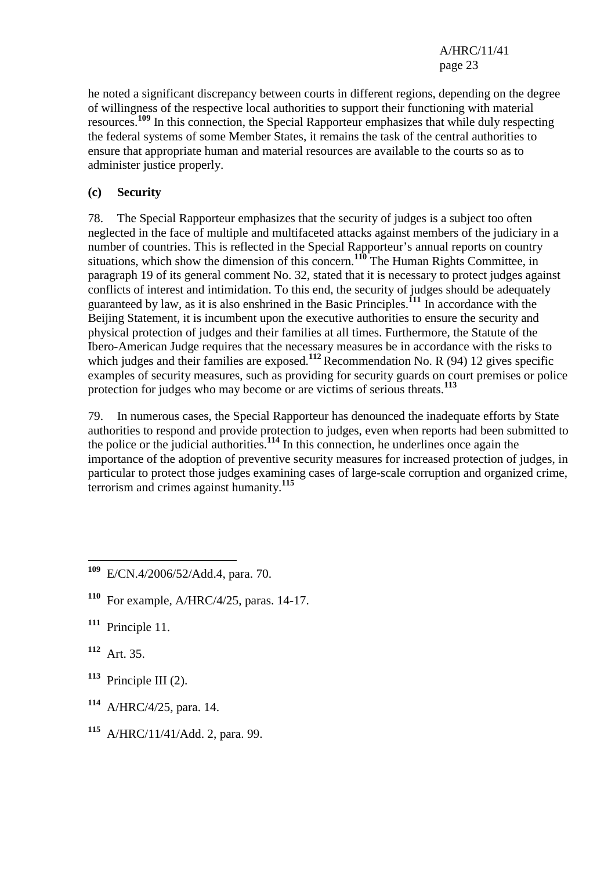he noted a significant discrepancy between courts in different regions, depending on the degree of willingness of the respective local authorities to support their functioning with material resources.**<sup>109</sup>** In this connection, the Special Rapporteur emphasizes that while duly respecting the federal systems of some Member States, it remains the task of the central authorities to ensure that appropriate human and material resources are available to the courts so as to administer justice properly.

#### **(c) Security**

78. The Special Rapporteur emphasizes that the security of judges is a subject too often neglected in the face of multiple and multifaceted attacks against members of the judiciary in a number of countries. This is reflected in the Special Rapporteur's annual reports on country situations, which show the dimension of this concern.**<sup>110</sup>** The Human Rights Committee, in paragraph 19 of its general comment No. 32, stated that it is necessary to protect judges against conflicts of interest and intimidation. To this end, the security of judges should be adequately guaranteed by law, as it is also enshrined in the Basic Principles.**<sup>111</sup>** In accordance with the Beijing Statement, it is incumbent upon the executive authorities to ensure the security and physical protection of judges and their families at all times. Furthermore, the Statute of the Ibero-American Judge requires that the necessary measures be in accordance with the risks to which judges and their families are exposed.<sup>112</sup>Recommendation No. R (94) 12 gives specific examples of security measures, such as providing for security guards on court premises or police protection for judges who may become or are victims of serious threats.**<sup>113</sup>**

79. In numerous cases, the Special Rapporteur has denounced the inadequate efforts by State authorities to respond and provide protection to judges, even when reports had been submitted to the police or the judicial authorities.**<sup>114</sup>** In this connection, he underlines once again the importance of the adoption of preventive security measures for increased protection of judges, in particular to protect those judges examining cases of large-scale corruption and organized crime, terrorism and crimes against humanity.**<sup>115</sup>**

- **<sup>113</sup>** Principle III (2).
- **<sup>114</sup>** A/HRC/4/25, para. 14.
- **<sup>115</sup>** A/HRC/11/41/Add. 2, para. 99.

<sup>109</sup> **<sup>109</sup>** E/CN.4/2006/52/Add.4, para. 70.

**<sup>110</sup>** For example, A/HRC/4/25, paras. 14-17.

**<sup>111</sup>** Principle 11.

**<sup>112</sup>** Art. 35.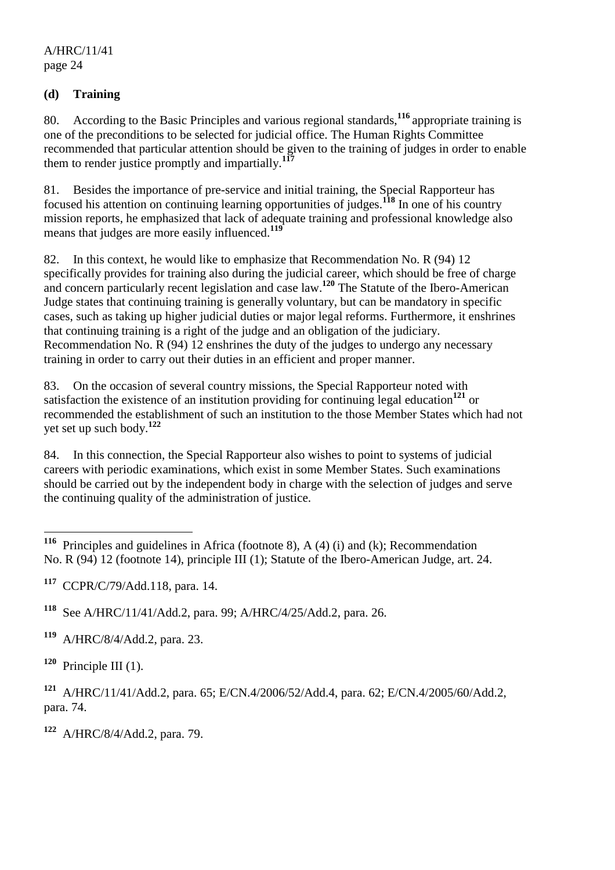## **(d) Training**

80. According to the Basic Principles and various regional standards,**<sup>116</sup>**appropriate training is one of the preconditions to be selected for judicial office. The Human Rights Committee recommended that particular attention should be given to the training of judges in order to enable them to render justice promptly and impartially.**<sup>117</sup>**

81. Besides the importance of pre-service and initial training, the Special Rapporteur has focused his attention on continuing learning opportunities of judges.**<sup>118</sup>** In one of his country mission reports, he emphasized that lack of adequate training and professional knowledge also means that judges are more easily influenced.**<sup>119</sup>**

82. In this context, he would like to emphasize that Recommendation No. R (94) 12 specifically provides for training also during the judicial career, which should be free of charge and concern particularly recent legislation and case law.**<sup>120</sup>** The Statute of the Ibero-American Judge states that continuing training is generally voluntary, but can be mandatory in specific cases, such as taking up higher judicial duties or major legal reforms. Furthermore, it enshrines that continuing training is a right of the judge and an obligation of the judiciary. Recommendation No. R (94) 12 enshrines the duty of the judges to undergo any necessary training in order to carry out their duties in an efficient and proper manner.

83. On the occasion of several country missions, the Special Rapporteur noted with satisfaction the existence of an institution providing for continuing legal education<sup>121</sup> or recommended the establishment of such an institution to the those Member States which had not yet set up such body.**<sup>122</sup>**

84. In this connection, the Special Rapporteur also wishes to point to systems of judicial careers with periodic examinations, which exist in some Member States. Such examinations should be carried out by the independent body in charge with the selection of judges and serve the continuing quality of the administration of justice.

**<sup>119</sup>** A/HRC/8/4/Add.2, para. 23.

**<sup>120</sup>** Principle III (1).

**<sup>122</sup>** A/HRC/8/4/Add.2, para. 79.

**<sup>116</sup> <sup>116</sup>** Principles and guidelines in Africa (footnote 8), A (4) (i) and (k); Recommendation No. R (94) 12 (footnote 14), principle III (1); Statute of the Ibero-American Judge, art. 24.

**<sup>117</sup>** CCPR/C/79/Add.118, para. 14.

**<sup>118</sup>** See A/HRC/11/41/Add.2, para. 99; A/HRC/4/25/Add.2, para. 26.

**<sup>121</sup>** A/HRC/11/41/Add.2, para. 65; E/CN.4/2006/52/Add.4, para. 62; E/CN.4/2005/60/Add.2, para. 74.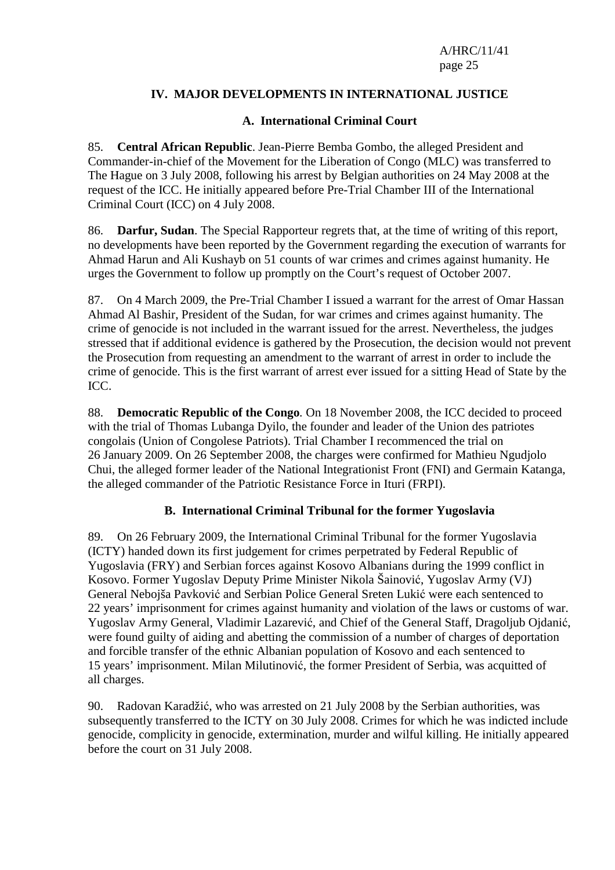## **IV. MAJOR DEVELOPMENTS IN INTERNATIONAL JUSTICE**

#### **A. International Criminal Court**

85. **Central African Republic**. Jean-Pierre Bemba Gombo, the alleged President and Commander-in-chief of the Movement for the Liberation of Congo (MLC) was transferred to The Hague on 3 July 2008, following his arrest by Belgian authorities on 24 May 2008 at the request of the ICC. He initially appeared before Pre-Trial Chamber III of the International Criminal Court (ICC) on 4 July 2008.

86. **Darfur, Sudan**. The Special Rapporteur regrets that, at the time of writing of this report, no developments have been reported by the Government regarding the execution of warrants for Ahmad Harun and Ali Kushayb on 51 counts of war crimes and crimes against humanity. He urges the Government to follow up promptly on the Court's request of October 2007.

87. On 4 March 2009, the Pre-Trial Chamber I issued a warrant for the arrest of Omar Hassan Ahmad Al Bashir, President of the Sudan, for war crimes and crimes against humanity. The crime of genocide is not included in the warrant issued for the arrest. Nevertheless, the judges stressed that if additional evidence is gathered by the Prosecution, the decision would not prevent the Prosecution from requesting an amendment to the warrant of arrest in order to include the crime of genocide. This is the first warrant of arrest ever issued for a sitting Head of State by the ICC.

88. **Democratic Republic of the Congo***.* On 18 November 2008, the ICC decided to proceed with the trial of Thomas Lubanga Dyilo, the founder and leader of the Union des patriotes congolais (Union of Congolese Patriots). Trial Chamber I recommenced the trial on 26 January 2009. On 26 September 2008, the charges were confirmed for Mathieu Ngudjolo Chui, the alleged former leader of the National Integrationist Front (FNI) and Germain Katanga, the alleged commander of the Patriotic Resistance Force in Ituri (FRPI).

#### **B. International Criminal Tribunal for the former Yugoslavia**

89. On 26 February 2009, the International Criminal Tribunal for the former Yugoslavia (ICTY) handed down its first judgement for crimes perpetrated by Federal Republic of Yugoslavia (FRY) and Serbian forces against Kosovo Albanians during the 1999 conflict in Kosovo. Former Yugoslav Deputy Prime Minister Nikola Šainović, Yugoslav Army (VJ) General Nebojša Pavković and Serbian Police General Sreten Lukić were each sentenced to 22 years' imprisonment for crimes against humanity and violation of the laws or customs of war. Yugoslav Army General, Vladimir Lazarević, and Chief of the General Staff, Dragoljub Ojdanić, were found guilty of aiding and abetting the commission of a number of charges of deportation and forcible transfer of the ethnic Albanian population of Kosovo and each sentenced to 15 years' imprisonment. Milan Milutinović, the former President of Serbia, was acquitted of all charges.

90. Radovan Karadžić, who was arrested on 21 July 2008 by the Serbian authorities, was subsequently transferred to the ICTY on 30 July 2008. Crimes for which he was indicted include genocide, complicity in genocide, extermination, murder and wilful killing. He initially appeared before the court on 31 July 2008.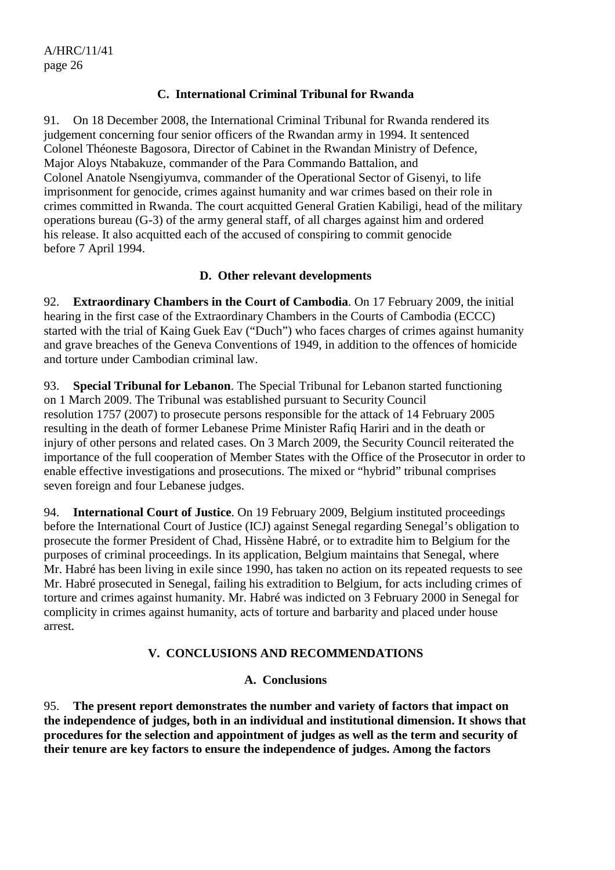### **C. International Criminal Tribunal for Rwanda**

91. On 18 December 2008, the International Criminal Tribunal for Rwanda rendered its judgement concerning four senior officers of the Rwandan army in 1994. It sentenced Colonel Théoneste Bagosora, Director of Cabinet in the Rwandan Ministry of Defence, Major Aloys Ntabakuze, commander of the Para Commando Battalion, and Colonel Anatole Nsengiyumva, commander of the Operational Sector of Gisenyi, to life imprisonment for genocide, crimes against humanity and war crimes based on their role in crimes committed in Rwanda. The court acquitted General Gratien Kabiligi, head of the military operations bureau (G-3) of the army general staff, of all charges against him and ordered his release. It also acquitted each of the accused of conspiring to commit genocide before 7 April 1994.

#### **D. Other relevant developments**

92. **Extraordinary Chambers in the Court of Cambodia**. On 17 February 2009, the initial hearing in the first case of the Extraordinary Chambers in the Courts of Cambodia (ECCC) started with the trial of Kaing Guek Eav ("Duch") who faces charges of crimes against humanity and grave breaches of the Geneva Conventions of 1949, in addition to the offences of homicide and torture under Cambodian criminal law.

93. **Special Tribunal for Lebanon**. The Special Tribunal for Lebanon started functioning on 1 March 2009. The Tribunal was established pursuant to Security Council resolution 1757 (2007) to prosecute persons responsible for the attack of 14 February 2005 resulting in the death of former Lebanese Prime Minister Rafiq Hariri and in the death or injury of other persons and related cases. On 3 March 2009, the Security Council reiterated the importance of the full cooperation of Member States with the Office of the Prosecutor in order to enable effective investigations and prosecutions. The mixed or "hybrid" tribunal comprises seven foreign and four Lebanese judges.

94. **International Court of Justice**. On 19 February 2009, Belgium instituted proceedings before the International Court of Justice (ICJ) against Senegal regarding Senegal's obligation to prosecute the former President of Chad, Hissène Habré, or to extradite him to Belgium for the purposes of criminal proceedings. In its application, Belgium maintains that Senegal, where Mr. Habré has been living in exile since 1990, has taken no action on its repeated requests to see Mr. Habré prosecuted in Senegal, failing his extradition to Belgium, for acts including crimes of torture and crimes against humanity. Mr. Habré was indicted on 3 February 2000 in Senegal for complicity in crimes against humanity, acts of torture and barbarity and placed under house arrest.

#### **V. CONCLUSIONS AND RECOMMENDATIONS**

#### **A. Conclusions**

95. **The present report demonstrates the number and variety of factors that impact on the independence of judges, both in an individual and institutional dimension. It shows that procedures for the selection and appointment of judges as well as the term and security of their tenure are key factors to ensure the independence of judges. Among the factors**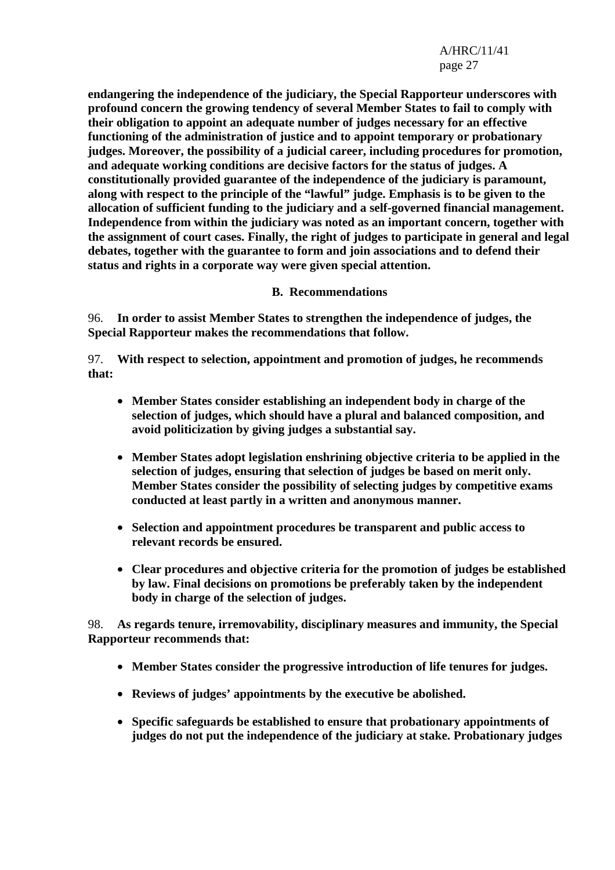**endangering the independence of the judiciary, the Special Rapporteur underscores with profound concern the growing tendency of several Member States to fail to comply with their obligation to appoint an adequate number of judges necessary for an effective functioning of the administration of justice and to appoint temporary or probationary judges. Moreover, the possibility of a judicial career, including procedures for promotion, and adequate working conditions are decisive factors for the status of judges. A constitutionally provided guarantee of the independence of the judiciary is paramount, along with respect to the principle of the "lawful" judge. Emphasis is to be given to the allocation of sufficient funding to the judiciary and a self-governed financial management. Independence from within the judiciary was noted as an important concern, together with the assignment of court cases. Finally, the right of judges to participate in general and legal debates, together with the guarantee to form and join associations and to defend their status and rights in a corporate way were given special attention.** 

#### **B. Recommendations**

96. **In order to assist Member States to strengthen the independence of judges, the Special Rapporteur makes the recommendations that follow.** 

97. **With respect to selection, appointment and promotion of judges, he recommends that:** 

- **Member States consider establishing an independent body in charge of the selection of judges, which should have a plural and balanced composition, and avoid politicization by giving judges a substantial say.**
- **Member States adopt legislation enshrining objective criteria to be applied in the selection of judges, ensuring that selection of judges be based on merit only. Member States consider the possibility of selecting judges by competitive exams conducted at least partly in a written and anonymous manner.**
- **Selection and appointment procedures be transparent and public access to relevant records be ensured.**
- **Clear procedures and objective criteria for the promotion of judges be established by law. Final decisions on promotions be preferably taken by the independent body in charge of the selection of judges.**

98. **As regards tenure, irremovability, disciplinary measures and immunity, the Special Rapporteur recommends that:** 

- **Member States consider the progressive introduction of life tenures for judges.**
- **Reviews of judges' appointments by the executive be abolished.**
- **Specific safeguards be established to ensure that probationary appointments of judges do not put the independence of the judiciary at stake. Probationary judges**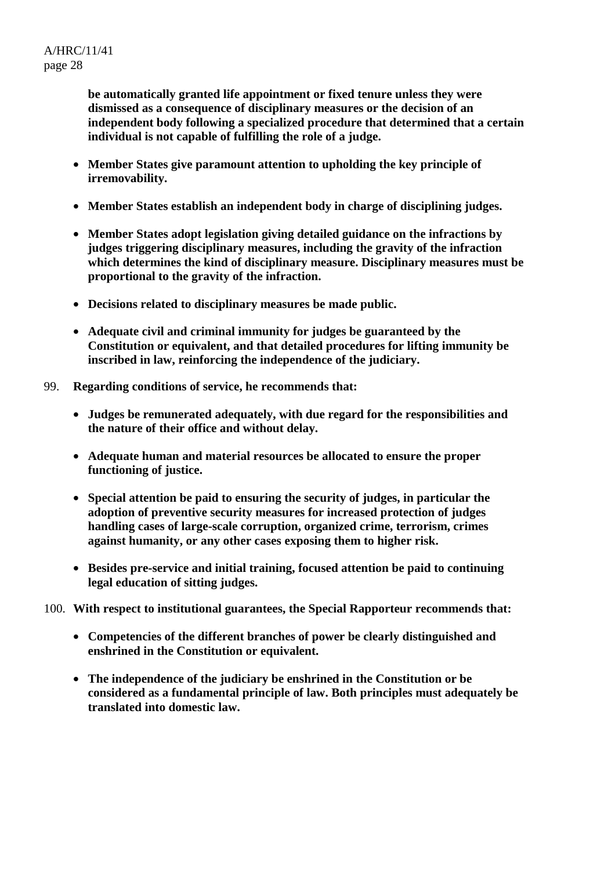**be automatically granted life appointment or fixed tenure unless they were dismissed as a consequence of disciplinary measures or the decision of an independent body following a specialized procedure that determined that a certain individual is not capable of fulfilling the role of a judge.** 

- **Member States give paramount attention to upholding the key principle of irremovability.**
- **Member States establish an independent body in charge of disciplining judges.**
- **Member States adopt legislation giving detailed guidance on the infractions by judges triggering disciplinary measures, including the gravity of the infraction which determines the kind of disciplinary measure. Disciplinary measures must be proportional to the gravity of the infraction.**
- **Decisions related to disciplinary measures be made public.**
- **Adequate civil and criminal immunity for judges be guaranteed by the Constitution or equivalent, and that detailed procedures for lifting immunity be inscribed in law, reinforcing the independence of the judiciary.**
- 99. **Regarding conditions of service, he recommends that:** 
	- **Judges be remunerated adequately, with due regard for the responsibilities and the nature of their office and without delay.**
	- **Adequate human and material resources be allocated to ensure the proper functioning of justice.**
	- **Special attention be paid to ensuring the security of judges, in particular the adoption of preventive security measures for increased protection of judges handling cases of large-scale corruption, organized crime, terrorism, crimes against humanity, or any other cases exposing them to higher risk.**
	- **Besides pre-service and initial training, focused attention be paid to continuing legal education of sitting judges.**
- 100. **With respect to institutional guarantees, the Special Rapporteur recommends that:** 
	- **Competencies of the different branches of power be clearly distinguished and enshrined in the Constitution or equivalent.**
	- **The independence of the judiciary be enshrined in the Constitution or be considered as a fundamental principle of law. Both principles must adequately be translated into domestic law.**